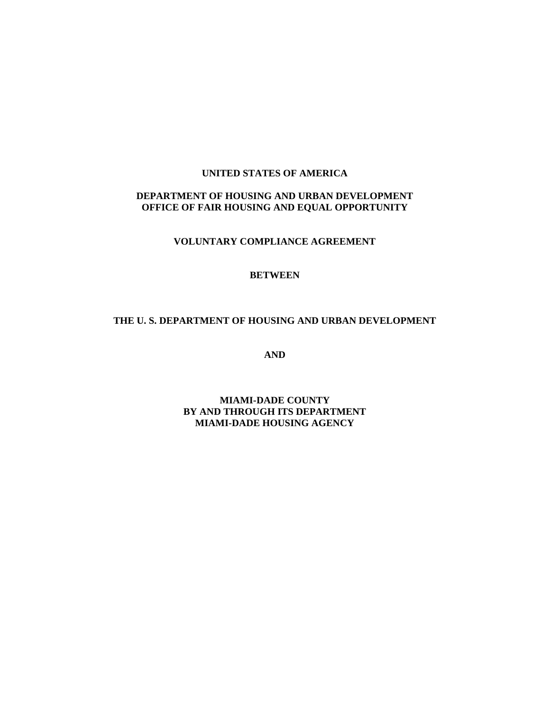### **UNITED STATES OF AMERICA**

### **DEPARTMENT OF HOUSING AND URBAN DEVELOPMENT OFFICE OF FAIR HOUSING AND EQUAL OPPORTUNITY**

**VOLUNTARY COMPLIANCE AGREEMENT** 

#### **BETWEEN**

#### **THE U. S. DEPARTMENT OF HOUSING AND URBAN DEVELOPMENT**

**AND** 

**MIAMI-DADE COUNTY BY AND THROUGH ITS DEPARTMENT MIAMI-DADE HOUSING AGENCY**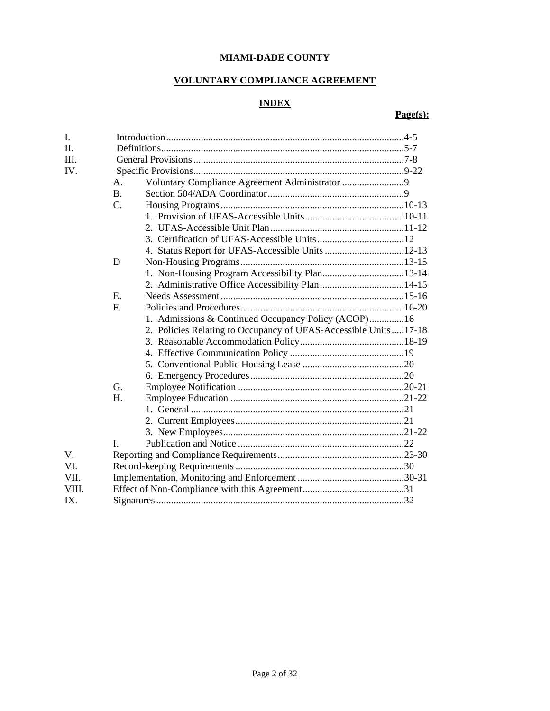# **MIAMI-DADE COUNTY**

# **VOLUNTARY COMPLIANCE AGREEMENT**

# **INDEX**

# **Page(s):**

| I.      |                 |                                                                 |  |
|---------|-----------------|-----------------------------------------------------------------|--|
| $\Pi$ . |                 |                                                                 |  |
| Ш.      |                 |                                                                 |  |
| IV.     |                 |                                                                 |  |
|         | A.              | Voluntary Compliance Agreement Administrator 9                  |  |
|         | <b>B.</b>       |                                                                 |  |
|         | $\mathcal{C}$ . |                                                                 |  |
|         |                 |                                                                 |  |
|         |                 |                                                                 |  |
|         |                 |                                                                 |  |
|         |                 |                                                                 |  |
|         | D               |                                                                 |  |
|         |                 |                                                                 |  |
|         |                 |                                                                 |  |
|         | E.              |                                                                 |  |
|         | $F_{\cdot}$     |                                                                 |  |
|         |                 | 1. Admissions & Continued Occupancy Policy (ACOP)16             |  |
|         |                 | 2. Policies Relating to Occupancy of UFAS-Accessible Units17-18 |  |
|         |                 |                                                                 |  |
|         |                 |                                                                 |  |
|         |                 |                                                                 |  |
|         |                 |                                                                 |  |
|         | G.              |                                                                 |  |
|         | $H_{\cdot}$     |                                                                 |  |
|         |                 |                                                                 |  |
|         |                 |                                                                 |  |
|         |                 |                                                                 |  |
|         | $\mathbf{I}$ .  |                                                                 |  |
| V.      |                 |                                                                 |  |
| VI.     |                 |                                                                 |  |
| VII.    |                 |                                                                 |  |
| VIII.   |                 |                                                                 |  |
| IX.     |                 |                                                                 |  |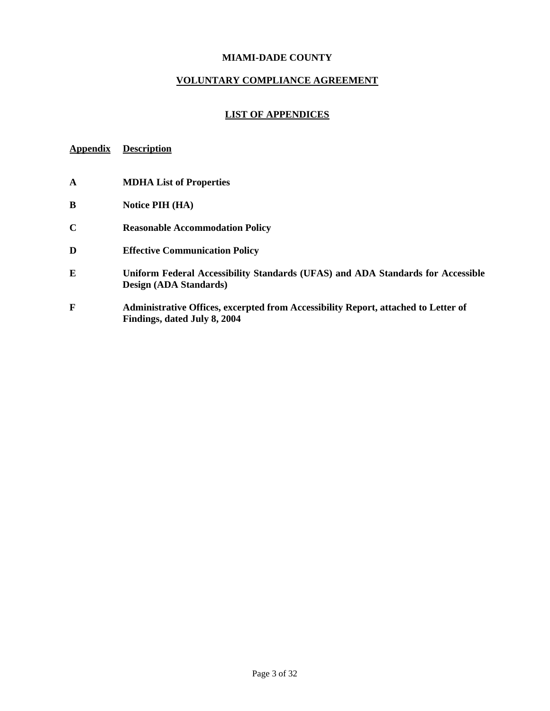### **MIAMI-DADE COUNTY**

#### **VOLUNTARY COMPLIANCE AGREEMENT**

### **LIST OF APPENDICES**

# **Appendix Description**

- **A MDHA List of Properties**
- **B Notice PIH (HA)**
- **C Reasonable Accommodation Policy**
- **D Effective Communication Policy**
- **E Uniform Federal Accessibility Standards (UFAS) and ADA Standards for Accessible Design (ADA Standards)**
- **F Administrative Offices, excerpted from Accessibility Report, attached to Letter of Findings, dated July 8, 2004**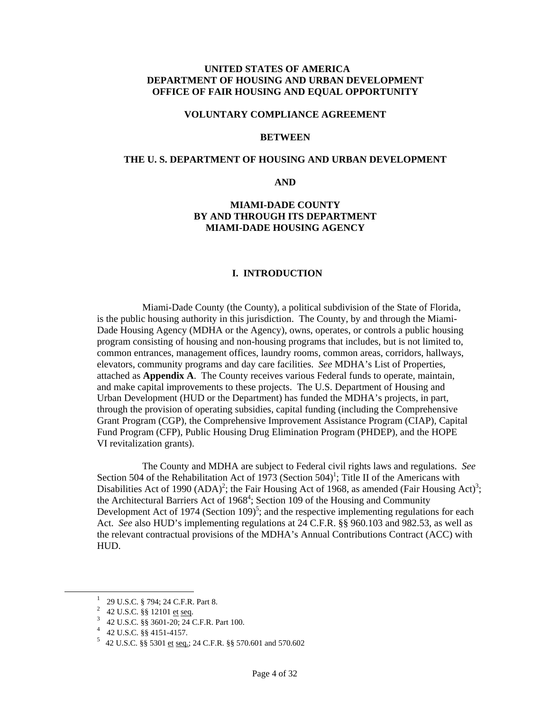#### **UNITED STATES OF AMERICA DEPARTMENT OF HOUSING AND URBAN DEVELOPMENT OFFICE OF FAIR HOUSING AND EQUAL OPPORTUNITY**

#### **VOLUNTARY COMPLIANCE AGREEMENT**

#### **BETWEEN**

#### **THE U. S. DEPARTMENT OF HOUSING AND URBAN DEVELOPMENT**

**AND** 

#### **MIAMI-DADE COUNTY BY AND THROUGH ITS DEPARTMENT MIAMI-DADE HOUSING AGENCY**

#### **I. INTRODUCTION**

Miami-Dade County (the County), a political subdivision of the State of Florida, is the public housing authority in this jurisdiction. The County, by and through the Miami-Dade Housing Agency (MDHA or the Agency), owns, operates, or controls a public housing program consisting of housing and non-housing programs that includes, but is not limited to, common entrances, management offices, laundry rooms, common areas, corridors, hallways, elevators, community programs and day care facilities. *See* MDHA's List of Properties, attached as **Appendix A**. The County receives various Federal funds to operate, maintain, and make capital improvements to these projects. The U.S. Department of Housing and Urban Development (HUD or the Department) has funded the MDHA's projects, in part, through the provision of operating subsidies, capital funding (including the Comprehensive Grant Program (CGP), the Comprehensive Improvement Assistance Program (CIAP), Capital Fund Program (CFP), Public Housing Drug Elimination Program (PHDEP), and the HOPE VI revitalization grants).

The County and MDHA are subject to Federal civil rights laws and regulations. *See* Section 504 of the Rehabilitation Act of 1973 (Section 504)<sup>1</sup>; Title II of the Americans with Disabilities Act of 1990 (ADA)<sup>2</sup>[;](#page-3-1) the Fair Housing Act of 1968, as amended (Fair Housing Act)<sup>[3](#page-3-2)</sup>; the Architectural Barriers Act of  $1968^4$  $1968^4$ ; Section 109 of the Housing and Community Development Act of 1974 (Section  $109)^5$ ; and the respective implementing regulations for each Act. *See* also HUD's implementing regulations at 24 C.F.R. §§ 960.103 and 982.53, as well as the relevant contractual provisions of the MDHA's Annual Contributions Contract (ACC) with HUD.

<sup>&</sup>lt;u>1</u> <sup>1</sup> 29 U.S.C. § 794; 24 C.F.R. Part 8.

<span id="page-3-1"></span><span id="page-3-0"></span> $^{2}$  42 U.S.C. §§ 12101 et seq.

<span id="page-3-2"></span> $3\quad 42 \text{ U.S.C. }$  §§ 3601-20; 24 C.F.R. Part 100.

<span id="page-3-3"></span> $4$  42 U.S.C. §§ 4151-4157.

<span id="page-3-4"></span> <sup>42</sup> U.S.C. §§ 5301 et seq.; 24 C.F.R. §§ 570.601 and 570.602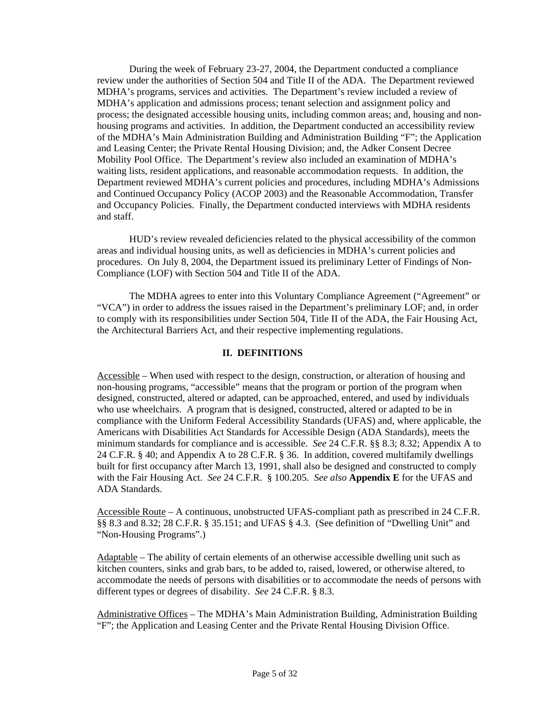During the week of February 23-27, 2004, the Department conducted a compliance review under the authorities of Section 504 and Title II of the ADA. The Department reviewed MDHA's programs, services and activities. The Department's review included a review of MDHA's application and admissions process; tenant selection and assignment policy and process; the designated accessible housing units, including common areas; and, housing and nonhousing programs and activities. In addition, the Department conducted an accessibility review of the MDHA's Main Administration Building and Administration Building "F"; the Application and Leasing Center; the Private Rental Housing Division; and, the Adker Consent Decree Mobility Pool Office. The Department's review also included an examination of MDHA's waiting lists, resident applications, and reasonable accommodation requests. In addition, the Department reviewed MDHA's current policies and procedures, including MDHA's Admissions and Continued Occupancy Policy (ACOP 2003) and the Reasonable Accommodation, Transfer and Occupancy Policies. Finally, the Department conducted interviews with MDHA residents and staff.

HUD's review revealed deficiencies related to the physical accessibility of the common areas and individual housing units, as well as deficiencies in MDHA's current policies and procedures. On July 8, 2004, the Department issued its preliminary Letter of Findings of Non-Compliance (LOF) with Section 504 and Title II of the ADA.

The MDHA agrees to enter into this Voluntary Compliance Agreement ("Agreement" or "VCA") in order to address the issues raised in the Department's preliminary LOF; and, in order to comply with its responsibilities under Section 504, Title II of the ADA, the Fair Housing Act, the Architectural Barriers Act, and their respective implementing regulations.

#### **II. DEFINITIONS**

Accessible – When used with respect to the design, construction, or alteration of housing and non-housing programs, "accessible" means that the program or portion of the program when designed, constructed, altered or adapted, can be approached, entered, and used by individuals who use wheelchairs. A program that is designed, constructed, altered or adapted to be in compliance with the Uniform Federal Accessibility Standards (UFAS) and, where applicable, the Americans with Disabilities Act Standards for Accessible Design (ADA Standards), meets the minimum standards for compliance and is accessible. *See* 24 C.F.R. §§ 8.3; 8.32; Appendix A to 24 C.F.R. § 40; and Appendix A to 28 C.F.R. § 36. In addition, covered multifamily dwellings built for first occupancy after March 13, 1991, shall also be designed and constructed to comply with the Fair Housing Act. *See* 24 C.F.R. § 100.205. *See also* **Appendix E** for the UFAS and ADA Standards.

Accessible Route – A continuous, unobstructed UFAS-compliant path as prescribed in 24 C.F.R. §§ 8.3 and 8.32; 28 C.F.R. § 35.151; and UFAS § 4.3. (See definition of "Dwelling Unit" and "Non-Housing Programs".)

Adaptable – The ability of certain elements of an otherwise accessible dwelling unit such as kitchen counters, sinks and grab bars, to be added to, raised, lowered, or otherwise altered, to accommodate the needs of persons with disabilities or to accommodate the needs of persons with different types or degrees of disability. *See* 24 C.F.R. § 8.3.

Administrative Offices – The MDHA's Main Administration Building, Administration Building "F"; the Application and Leasing Center and the Private Rental Housing Division Office.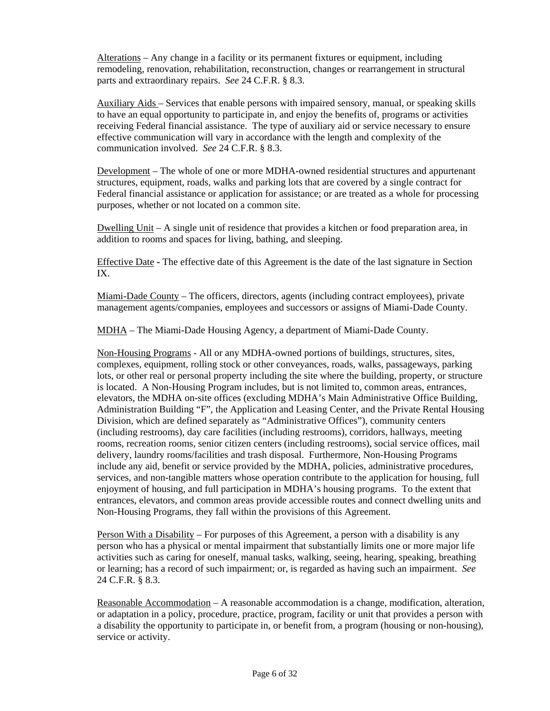Alterations – Any change in a facility or its permanent fixtures or equipment, including remodeling, renovation, rehabilitation, reconstruction, changes or rearrangement in structural parts and extraordinary repairs. *See* 24 C.F.R. § 8.3.

Auxiliary Aids – Services that enable persons with impaired sensory, manual, or speaking skills to have an equal opportunity to participate in, and enjoy the benefits of, programs or activities receiving Federal financial assistance. The type of auxiliary aid or service necessary to ensure effective communication will vary in accordance with the length and complexity of the communication involved. *See* 24 C.F.R. § 8.3.

Development – The whole of one or more MDHA-owned residential structures and appurtenant structures, equipment, roads, walks and parking lots that are covered by a single contract for Federal financial assistance or application for assistance; or are treated as a whole for processing purposes, whether or not located on a common site.

Dwelling Unit – A single unit of residence that provides a kitchen or food preparation area, in addition to rooms and spaces for living, bathing, and sleeping.

Effective Date **-** The effective date of this Agreement is the date of the last signature in Section IX.

Miami-Dade County – The officers, directors, agents (including contract employees), private management agents/companies, employees and successors or assigns of Miami-Dade County.

MDHA – The Miami-Dade Housing Agency, a department of Miami-Dade County.

Non-Housing Programs - All or any MDHA-owned portions of buildings, structures, sites, complexes, equipment, rolling stock or other conveyances, roads, walks, passageways, parking lots, or other real or personal property including the site where the building, property, or structure is located. A Non-Housing Program includes, but is not limited to, common areas, entrances, elevators, the MDHA on-site offices (excluding MDHA's Main Administrative Office Building, Administration Building "F", the Application and Leasing Center, and the Private Rental Housing Division, which are defined separately as "Administrative Offices"), community centers (including restrooms), day care facilities (including restrooms), corridors, hallways, meeting rooms, recreation rooms, senior citizen centers (including restrooms), social service offices, mail delivery, laundry rooms/facilities and trash disposal. Furthermore, Non-Housing Programs include any aid, benefit or service provided by the MDHA, policies, administrative procedures, services, and non-tangible matters whose operation contribute to the application for housing, full enjoyment of housing, and full participation in MDHA's housing programs. To the extent that entrances, elevators, and common areas provide accessible routes and connect dwelling units and Non-Housing Programs, they fall within the provisions of this Agreement.

Person With a Disability – For purposes of this Agreement, a person with a disability is any person who has a physical or mental impairment that substantially limits one or more major life activities such as caring for oneself, manual tasks, walking, seeing, hearing, speaking, breathing or learning; has a record of such impairment; or, is regarded as having such an impairment. *See*  24 C.F.R. § 8.3.

Reasonable Accommodation – A reasonable accommodation is a change, modification, alteration, or adaptation in a policy, procedure, practice, program, facility or unit that provides a person with a disability the opportunity to participate in, or benefit from, a program (housing or non-housing), service or activity.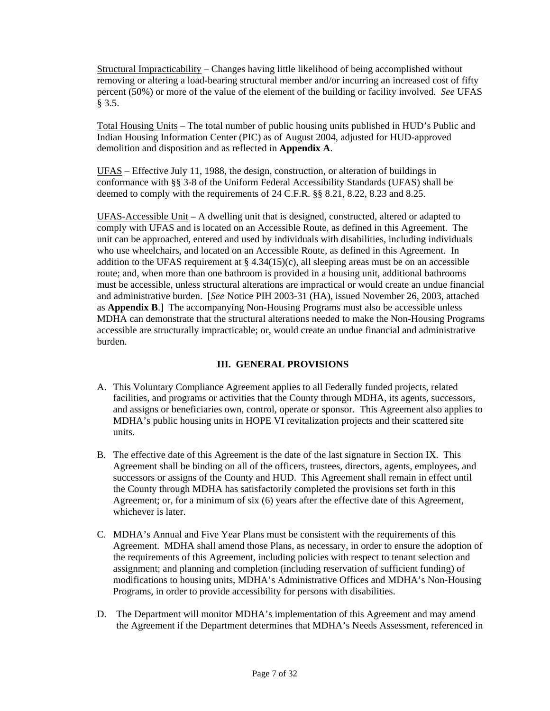Structural Impracticability – Changes having little likelihood of being accomplished without removing or altering a load-bearing structural member and/or incurring an increased cost of fifty percent (50%) or more of the value of the element of the building or facility involved. *See* UFAS § 3.5.

Total Housing Units – The total number of public housing units published in HUD's Public and Indian Housing Information Center (PIC) as of August 2004, adjusted for HUD-approved demolition and disposition and as reflected in **Appendix A**.

UFAS – Effective July 11, 1988, the design, construction, or alteration of buildings in conformance with §§ 3-8 of the Uniform Federal Accessibility Standards (UFAS) shall be deemed to comply with the requirements of 24 C.F.R. §§ 8.21, 8.22, 8.23 and 8.25.

 UFAS-Accessible Unit – A dwelling unit that is designed, constructed, altered or adapted to comply with UFAS and is located on an Accessible Route, as defined in this Agreement. The unit can be approached, entered and used by individuals with disabilities, including individuals who use wheelchairs, and located on an Accessible Route, as defined in this Agreement. In addition to the UFAS requirement at  $\S 4.34(15)(c)$ , all sleeping areas must be on an accessible route; and, when more than one bathroom is provided in a housing unit, additional bathrooms must be accessible, unless structural alterations are impractical or would create an undue financial and administrative burden. [*See* Notice PIH 2003-31 (HA), issued November 26, 2003, attached as **Appendix B**.] The accompanying Non-Housing Programs must also be accessible unless MDHA can demonstrate that the structural alterations needed to make the Non-Housing Programs accessible are structurally impracticable; or, would create an undue financial and administrative burden.

## **III. GENERAL PROVISIONS**

- A. This Voluntary Compliance Agreement applies to all Federally funded projects, related facilities, and programs or activities that the County through MDHA, its agents, successors, and assigns or beneficiaries own, control, operate or sponsor. This Agreement also applies to MDHA's public housing units in HOPE VI revitalization projects and their scattered site units.
- B. The effective date of this Agreement is the date of the last signature in Section IX. This Agreement shall be binding on all of the officers, trustees, directors, agents, employees, and successors or assigns of the County and HUD. This Agreement shall remain in effect until the County through MDHA has satisfactorily completed the provisions set forth in this Agreement; or, for a minimum of six (6) years after the effective date of this Agreement, whichever is later.
- C. MDHA's Annual and Five Year Plans must be consistent with the requirements of this Agreement. MDHA shall amend those Plans, as necessary, in order to ensure the adoption of the requirements of this Agreement, including policies with respect to tenant selection and assignment; and planning and completion (including reservation of sufficient funding) of modifications to housing units, MDHA's Administrative Offices and MDHA's Non-Housing Programs, in order to provide accessibility for persons with disabilities.
- D. The Department will monitor MDHA's implementation of this Agreement and may amend the Agreement if the Department determines that MDHA's Needs Assessment, referenced in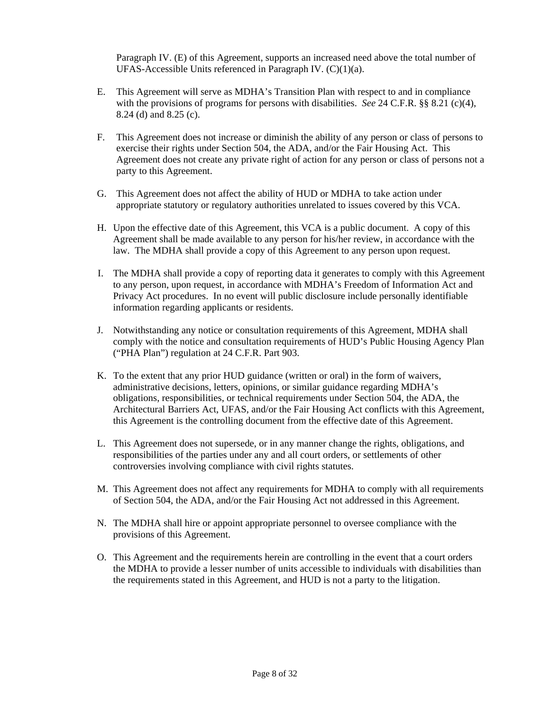Paragraph IV. (E) of this Agreement, supports an increased need above the total number of UFAS-Accessible Units referenced in Paragraph IV.  $(C)(1)(a)$ .

- E. This Agreement will serve as MDHA's Transition Plan with respect to and in compliance with the provisions of programs for persons with disabilities. *See* 24 C.F.R. §§ 8.21 (c)(4), 8.24 (d) and 8.25 (c).
- F. This Agreement does not increase or diminish the ability of any person or class of persons to exercise their rights under Section 504, the ADA, and/or the Fair Housing Act. This Agreement does not create any private right of action for any person or class of persons not a party to this Agreement.
- G. This Agreement does not affect the ability of HUD or MDHA to take action under appropriate statutory or regulatory authorities unrelated to issues covered by this VCA.
- H. Upon the effective date of this Agreement, this VCA is a public document. A copy of this Agreement shall be made available to any person for his/her review, in accordance with the law. The MDHA shall provide a copy of this Agreement to any person upon request.
- I. The MDHA shall provide a copy of reporting data it generates to comply with this Agreement to any person, upon request, in accordance with MDHA's Freedom of Information Act and Privacy Act procedures. In no event will public disclosure include personally identifiable information regarding applicants or residents.
- J. Notwithstanding any notice or consultation requirements of this Agreement, MDHA shall comply with the notice and consultation requirements of HUD's Public Housing Agency Plan ("PHA Plan") regulation at 24 C.F.R. Part 903.
- K. To the extent that any prior HUD guidance (written or oral) in the form of waivers, administrative decisions, letters, opinions, or similar guidance regarding MDHA's obligations, responsibilities, or technical requirements under Section 504, the ADA, the Architectural Barriers Act, UFAS, and/or the Fair Housing Act conflicts with this Agreement, this Agreement is the controlling document from the effective date of this Agreement.
- L. This Agreement does not supersede, or in any manner change the rights, obligations, and responsibilities of the parties under any and all court orders, or settlements of other controversies involving compliance with civil rights statutes.
- M. This Agreement does not affect any requirements for MDHA to comply with all requirements of Section 504, the ADA, and/or the Fair Housing Act not addressed in this Agreement.
- N. The MDHA shall hire or appoint appropriate personnel to oversee compliance with the provisions of this Agreement.
- O. This Agreement and the requirements herein are controlling in the event that a court orders the MDHA to provide a lesser number of units accessible to individuals with disabilities than the requirements stated in this Agreement, and HUD is not a party to the litigation.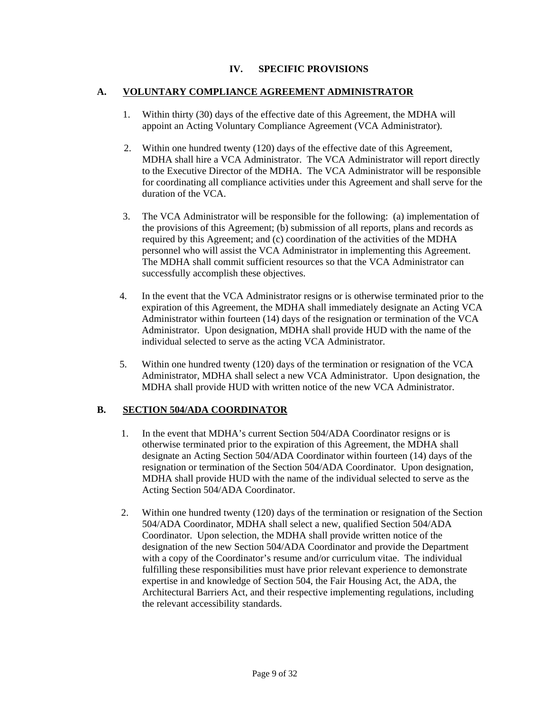## **IV. SPECIFIC PROVISIONS**

#### **A. VOLUNTARY COMPLIANCE AGREEMENT ADMINISTRATOR**

- 1. Within thirty (30) days of the effective date of this Agreement, the MDHA will appoint an Acting Voluntary Compliance Agreement (VCA Administrator).
- 2. Within one hundred twenty (120) days of the effective date of this Agreement, MDHA shall hire a VCA Administrator. The VCA Administrator will report directly to the Executive Director of the MDHA. The VCA Administrator will be responsible for coordinating all compliance activities under this Agreement and shall serve for the duration of the VCA.
- 3. The VCA Administrator will be responsible for the following: (a) implementation of the provisions of this Agreement; (b) submission of all reports, plans and records as required by this Agreement; and (c) coordination of the activities of the MDHA personnel who will assist the VCA Administrator in implementing this Agreement. The MDHA shall commit sufficient resources so that the VCA Administrator can successfully accomplish these objectives.
- 4. In the event that the VCA Administrator resigns or is otherwise terminated prior to the expiration of this Agreement, the MDHA shall immediately designate an Acting VCA Administrator within fourteen (14) days of the resignation or termination of the VCA Administrator. Upon designation, MDHA shall provide HUD with the name of the individual selected to serve as the acting VCA Administrator.
- 5. Within one hundred twenty (120) days of the termination or resignation of the VCA Administrator, MDHA shall select a new VCA Administrator. Upon designation, the MDHA shall provide HUD with written notice of the new VCA Administrator.

#### **B. SECTION 504/ADA COORDINATOR**

- 1. In the event that MDHA's current Section 504/ADA Coordinator resigns or is otherwise terminated prior to the expiration of this Agreement, the MDHA shall designate an Acting Section 504/ADA Coordinator within fourteen (14) days of the resignation or termination of the Section 504/ADA Coordinator. Upon designation, MDHA shall provide HUD with the name of the individual selected to serve as the Acting Section 504/ADA Coordinator.
- 2. Within one hundred twenty (120) days of the termination or resignation of the Section 504/ADA Coordinator, MDHA shall select a new, qualified Section 504/ADA Coordinator. Upon selection, the MDHA shall provide written notice of the designation of the new Section 504/ADA Coordinator and provide the Department with a copy of the Coordinator's resume and/or curriculum vitae. The individual fulfilling these responsibilities must have prior relevant experience to demonstrate expertise in and knowledge of Section 504, the Fair Housing Act, the ADA, the Architectural Barriers Act, and their respective implementing regulations, including the relevant accessibility standards.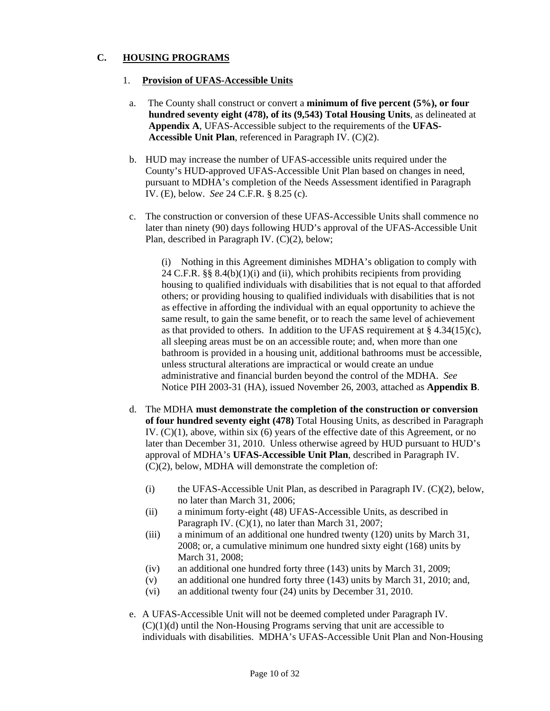### **C. HOUSING PROGRAMS**

#### 1. **Provision of UFAS-Accessible Units**

- a. The County shall construct or convert a **minimum of five percent (5%), or four hundred seventy eight (478), of its (9,543) Total Housing Units**, as delineated at **Appendix A**, UFAS-Accessible subject to the requirements of the **UFAS-Accessible Unit Plan**, referenced in Paragraph IV. (C)(2).
- b. HUD may increase the number of UFAS-accessible units required under the County's HUD-approved UFAS-Accessible Unit Plan based on changes in need, pursuant to MDHA's completion of the Needs Assessment identified in Paragraph IV. (E), below. *See* 24 C.F.R. § 8.25 (c).
- c. The construction or conversion of these UFAS-Accessible Units shall commence no later than ninety (90) days following HUD's approval of the UFAS-Accessible Unit Plan, described in Paragraph IV. (C)(2), below;

(i) Nothing in this Agreement diminishes MDHA's obligation to comply with 24 C.F.R. §§ 8.4(b)(1)(i) and (ii), which prohibits recipients from providing housing to qualified individuals with disabilities that is not equal to that afforded others; or providing housing to qualified individuals with disabilities that is not as effective in affording the individual with an equal opportunity to achieve the same result, to gain the same benefit, or to reach the same level of achievement as that provided to others. In addition to the UFAS requirement at  $\S$  4.34(15)(c), all sleeping areas must be on an accessible route; and, when more than one bathroom is provided in a housing unit, additional bathrooms must be accessible, unless structural alterations are impractical or would create an undue administrative and financial burden beyond the control of the MDHA. *See* Notice PIH 2003-31 (HA), issued November 26, 2003, attached as **Appendix B**.

- d. The MDHA **must demonstrate the completion of the construction or conversion of four hundred seventy eight (478)** Total Housing Units, as described in Paragraph IV.  $(C)(1)$ , above, within six  $(6)$  years of the effective date of this Agreement, or no later than December 31, 2010. Unless otherwise agreed by HUD pursuant to HUD's approval of MDHA's **UFAS-Accessible Unit Plan**, described in Paragraph IV. (C)(2), below, MDHA will demonstrate the completion of:
	- (i) the UFAS-Accessible Unit Plan, as described in Paragraph IV. (C)(2), below, no later than March 31, 2006;
	- (ii) a minimum forty-eight (48) UFAS-Accessible Units, as described in Paragraph IV. (C)(1), no later than March 31, 2007;
	- (iii) a minimum of an additional one hundred twenty (120) units by March 31, 2008; or, a cumulative minimum one hundred sixty eight (168) units by March 31, 2008;
	- (iv) an additional one hundred forty three (143) units by March 31, 2009;
	- (v) an additional one hundred forty three (143) units by March 31, 2010; and,
	- (vi) an additional twenty four (24) units by December 31, 2010.
- e. A UFAS-Accessible Unit will not be deemed completed under Paragraph IV.  $(C)(1)(d)$  until the Non-Housing Programs serving that unit are accessible to individuals with disabilities. MDHA's UFAS-Accessible Unit Plan and Non-Housing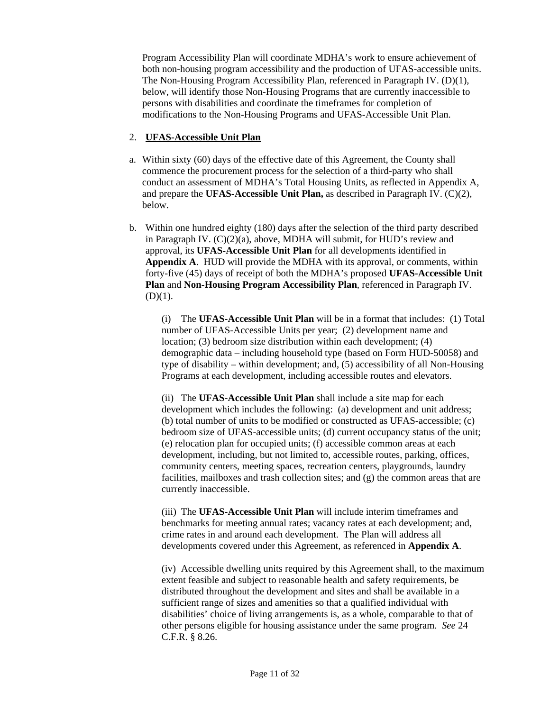Program Accessibility Plan will coordinate MDHA's work to ensure achievement of both non-housing program accessibility and the production of UFAS-accessible units. The Non-Housing Program Accessibility Plan, referenced in Paragraph IV. (D)(1), below, will identify those Non-Housing Programs that are currently inaccessible to persons with disabilities and coordinate the timeframes for completion of modifications to the Non-Housing Programs and UFAS-Accessible Unit Plan.

## 2. **UFAS-Accessible Unit Plan**

- a. Within sixty (60) days of the effective date of this Agreement, the County shall commence the procurement process for the selection of a third-party who shall conduct an assessment of MDHA's Total Housing Units, as reflected in Appendix A, and prepare the **UFAS-Accessible Unit Plan,** as described in Paragraph IV. (C)(2), below.
- b. Within one hundred eighty (180) days after the selection of the third party described in Paragraph IV. (C)(2)(a), above, MDHA will submit, for HUD's review and approval, its **UFAS-Accessible Unit Plan** for all developments identified in **Appendix A**. HUD will provide the MDHA with its approval, or comments, within forty-five (45) days of receipt of both the MDHA's proposed **UFAS-Accessible Unit Plan** and **Non-Housing Program Accessibility Plan**, referenced in Paragraph IV.  $(D)(1)$ .

 (i) The **UFAS-Accessible Unit Plan** will be in a format that includes: (1) Total number of UFAS-Accessible Units per year; (2) development name and location; (3) bedroom size distribution within each development; (4) demographic data – including household type (based on Form HUD-50058) and type of disability – within development; and, (5) accessibility of all Non-Housing Programs at each development, including accessible routes and elevators.

(ii) The **UFAS-Accessible Unit Plan** shall include a site map for each development which includes the following: (a) development and unit address; (b) total number of units to be modified or constructed as UFAS-accessible; (c) bedroom size of UFAS-accessible units; (d) current occupancy status of the unit; (e) relocation plan for occupied units; (f) accessible common areas at each development, including, but not limited to, accessible routes, parking, offices, community centers, meeting spaces, recreation centers, playgrounds, laundry facilities, mailboxes and trash collection sites; and (g) the common areas that are currently inaccessible.

(iii) The **UFAS-Accessible Unit Plan** will include interim timeframes and benchmarks for meeting annual rates; vacancy rates at each development; and, crime rates in and around each development. The Plan will address all developments covered under this Agreement, as referenced in **Appendix A**.

(iv) Accessible dwelling units required by this Agreement shall, to the maximum extent feasible and subject to reasonable health and safety requirements, be distributed throughout the development and sites and shall be available in a sufficient range of sizes and amenities so that a qualified individual with disabilities' choice of living arrangements is, as a whole, comparable to that of other persons eligible for housing assistance under the same program. *See* 24 C.F.R. § 8.26.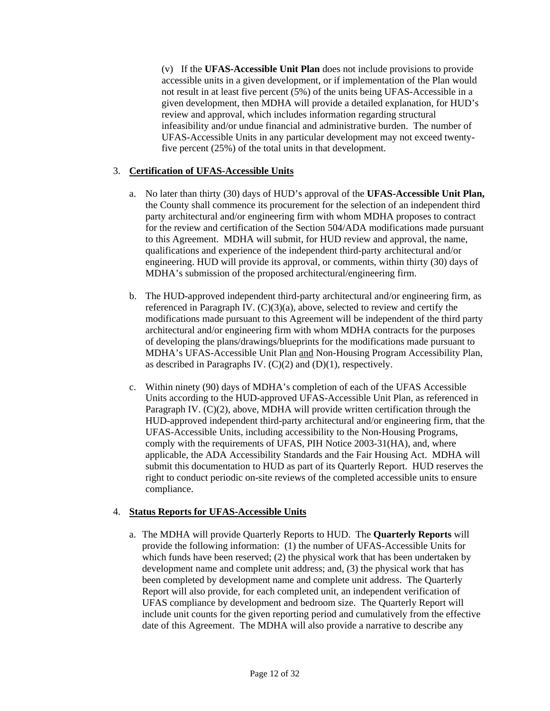(v) If the **UFAS-Accessible Unit Plan** does not include provisions to provide accessible units in a given development, or if implementation of the Plan would not result in at least five percent (5%) of the units being UFAS-Accessible in a given development, then MDHA will provide a detailed explanation, for HUD's review and approval, which includes information regarding structural infeasibility and/or undue financial and administrative burden. The number of UFAS-Accessible Units in any particular development may not exceed twentyfive percent (25%) of the total units in that development.

### 3. **Certification of UFAS-Accessible Units**

- a. No later than thirty (30) days of HUD's approval of the **UFAS-Accessible Unit Plan,** the County shall commence its procurement for the selection of an independent third party architectural and/or engineering firm with whom MDHA proposes to contract for the review and certification of the Section 504/ADA modifications made pursuant to this Agreement. MDHA will submit, for HUD review and approval, the name, qualifications and experience of the independent third-party architectural and/or engineering. HUD will provide its approval, or comments, within thirty (30) days of MDHA's submission of the proposed architectural/engineering firm.
- b. The HUD-approved independent third-party architectural and/or engineering firm, as referenced in Paragraph IV.  $(C)(3)(a)$ , above, selected to review and certify the modifications made pursuant to this Agreement will be independent of the third party architectural and/or engineering firm with whom MDHA contracts for the purposes of developing the plans/drawings/blueprints for the modifications made pursuant to MDHA's UFAS-Accessible Unit Plan and Non-Housing Program Accessibility Plan, as described in Paragraphs IV.  $(C)(2)$  and  $(D)(1)$ , respectively.
- c. Within ninety (90) days of MDHA's completion of each of the UFAS Accessible Units according to the HUD-approved UFAS-Accessible Unit Plan, as referenced in Paragraph IV. (C)(2), above, MDHA will provide written certification through the HUD-approved independent third-party architectural and/or engineering firm, that the UFAS-Accessible Units, including accessibility to the Non-Housing Programs, comply with the requirements of UFAS, PIH Notice 2003-31(HA), and, where applicable, the ADA Accessibility Standards and the Fair Housing Act. MDHA will submit this documentation to HUD as part of its Quarterly Report. HUD reserves the right to conduct periodic on-site reviews of the completed accessible units to ensure compliance.

#### 4. **Status Reports for UFAS-Accessible Units**

a. The MDHA will provide Quarterly Reports to HUD. The **Quarterly Reports** will provide the following information: (1) the number of UFAS-Accessible Units for which funds have been reserved; (2) the physical work that has been undertaken by development name and complete unit address; and, (3) the physical work that has been completed by development name and complete unit address. The Quarterly Report will also provide, for each completed unit, an independent verification of UFAS compliance by development and bedroom size. The Quarterly Report will include unit counts for the given reporting period and cumulatively from the effective date of this Agreement. The MDHA will also provide a narrative to describe any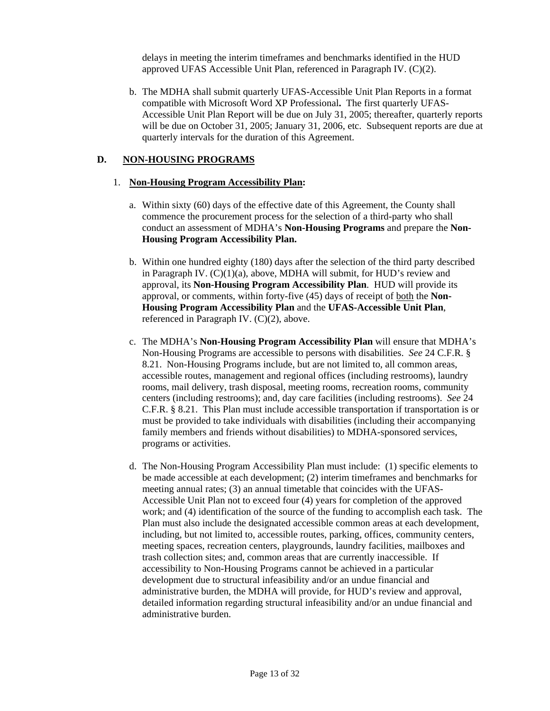delays in meeting the interim timeframes and benchmarks identified in the HUD approved UFAS Accessible Unit Plan, referenced in Paragraph IV. (C)(2).

b. The MDHA shall submit quarterly UFAS-Accessible Unit Plan Reports in a format compatible with Microsoft Word XP Professional**.** The first quarterly UFAS-Accessible Unit Plan Report will be due on July 31, 2005; thereafter, quarterly reports will be due on October 31, 2005; January 31, 2006, etc. Subsequent reports are due at quarterly intervals for the duration of this Agreement.

#### **D. NON-HOUSING PROGRAMS**

#### 1. **Non-Housing Program Accessibility Plan:**

- a. Within sixty (60) days of the effective date of this Agreement, the County shall commence the procurement process for the selection of a third-party who shall conduct an assessment of MDHA's **Non-Housing Programs** and prepare the **Non-Housing Program Accessibility Plan.**
- b. Within one hundred eighty (180) days after the selection of the third party described in Paragraph IV. (C)(1)(a), above, MDHA will submit, for HUD's review and approval, its **Non-Housing Program Accessibility Plan**. HUD will provide its approval, or comments, within forty-five (45) days of receipt of both the **Non-Housing Program Accessibility Plan** and the **UFAS-Accessible Unit Plan**, referenced in Paragraph IV. (C)(2), above.
- c. The MDHA's **Non-Housing Program Accessibility Plan** will ensure that MDHA's Non-Housing Programs are accessible to persons with disabilities. *See* 24 C.F.R. § 8.21. Non-Housing Programs include, but are not limited to, all common areas, accessible routes, management and regional offices (including restrooms), laundry rooms, mail delivery, trash disposal, meeting rooms, recreation rooms, community centers (including restrooms); and, day care facilities (including restrooms). *See* 24 C.F.R. § 8.21. This Plan must include accessible transportation if transportation is or must be provided to take individuals with disabilities (including their accompanying family members and friends without disabilities) to MDHA-sponsored services, programs or activities.
- d. The Non-Housing Program Accessibility Plan must include: (1) specific elements to be made accessible at each development; (2) interim timeframes and benchmarks for meeting annual rates; (3) an annual timetable that coincides with the UFAS-Accessible Unit Plan not to exceed four (4) years for completion of the approved work; and (4) identification of the source of the funding to accomplish each task. The Plan must also include the designated accessible common areas at each development, including, but not limited to, accessible routes, parking, offices, community centers, meeting spaces, recreation centers, playgrounds, laundry facilities, mailboxes and trash collection sites; and, common areas that are currently inaccessible. If accessibility to Non-Housing Programs cannot be achieved in a particular development due to structural infeasibility and/or an undue financial and administrative burden, the MDHA will provide, for HUD's review and approval, detailed information regarding structural infeasibility and/or an undue financial and administrative burden.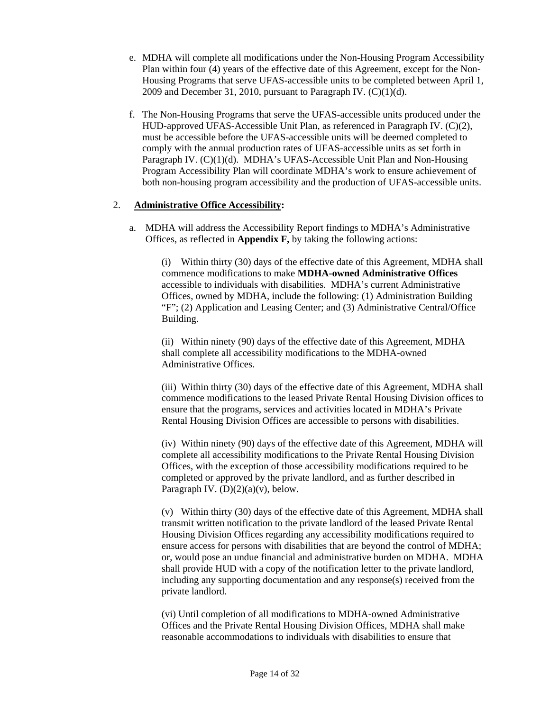- e. MDHA will complete all modifications under the Non-Housing Program Accessibility Plan within four (4) years of the effective date of this Agreement, except for the Non-Housing Programs that serve UFAS-accessible units to be completed between April 1, 2009 and December 31, 2010, pursuant to Paragraph IV.  $(C)(1)(d)$ .
- f. The Non-Housing Programs that serve the UFAS-accessible units produced under the HUD-approved UFAS-Accessible Unit Plan, as referenced in Paragraph IV. (C)(2), must be accessible before the UFAS-accessible units will be deemed completed to comply with the annual production rates of UFAS-accessible units as set forth in Paragraph IV. (C)(1)(d). MDHA's UFAS-Accessible Unit Plan and Non-Housing Program Accessibility Plan will coordinate MDHA's work to ensure achievement of both non-housing program accessibility and the production of UFAS-accessible units.

### 2. **Administrative Office Accessibility:**

a. MDHA will address the Accessibility Report findings to MDHA's Administrative Offices, as reflected in **Appendix F,** by taking the following actions:

(i) Within thirty (30) days of the effective date of this Agreement, MDHA shall commence modifications to make **MDHA-owned Administrative Offices**  accessible to individuals with disabilities. MDHA's current Administrative Offices, owned by MDHA, include the following: (1) Administration Building "F"; (2) Application and Leasing Center; and (3) Administrative Central/Office Building.

(ii) Within ninety (90) days of the effective date of this Agreement, MDHA shall complete all accessibility modifications to the MDHA-owned Administrative Offices.

(iii) Within thirty (30) days of the effective date of this Agreement, MDHA shall commence modifications to the leased Private Rental Housing Division offices to ensure that the programs, services and activities located in MDHA's Private Rental Housing Division Offices are accessible to persons with disabilities.

(iv) Within ninety (90) days of the effective date of this Agreement, MDHA will complete all accessibility modifications to the Private Rental Housing Division Offices, with the exception of those accessibility modifications required to be completed or approved by the private landlord, and as further described in Paragraph IV.  $(D)(2)(a)(v)$ , below.

(v) Within thirty (30) days of the effective date of this Agreement, MDHA shall transmit written notification to the private landlord of the leased Private Rental Housing Division Offices regarding any accessibility modifications required to ensure access for persons with disabilities that are beyond the control of MDHA; or, would pose an undue financial and administrative burden on MDHA. MDHA shall provide HUD with a copy of the notification letter to the private landlord, including any supporting documentation and any response(s) received from the private landlord.

(vi) Until completion of all modifications to MDHA-owned Administrative Offices and the Private Rental Housing Division Offices, MDHA shall make reasonable accommodations to individuals with disabilities to ensure that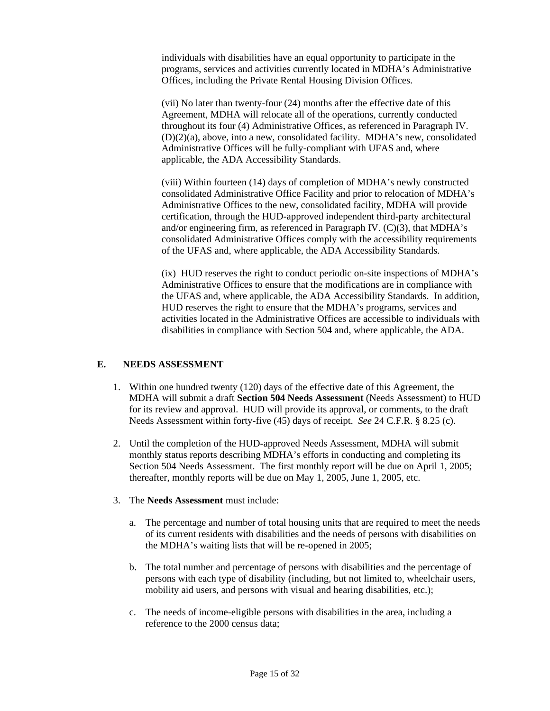individuals with disabilities have an equal opportunity to participate in the programs, services and activities currently located in MDHA's Administrative Offices, including the Private Rental Housing Division Offices.

(vii) No later than twenty-four (24) months after the effective date of this Agreement, MDHA will relocate all of the operations, currently conducted throughout its four (4) Administrative Offices, as referenced in Paragraph IV. (D)(2)(a), above, into a new, consolidated facility. MDHA's new, consolidated Administrative Offices will be fully-compliant with UFAS and, where applicable, the ADA Accessibility Standards.

(viii) Within fourteen (14) days of completion of MDHA's newly constructed consolidated Administrative Office Facility and prior to relocation of MDHA's Administrative Offices to the new, consolidated facility, MDHA will provide certification, through the HUD-approved independent third-party architectural and/or engineering firm, as referenced in Paragraph IV. (C)(3), that MDHA's consolidated Administrative Offices comply with the accessibility requirements of the UFAS and, where applicable, the ADA Accessibility Standards.

(ix) HUD reserves the right to conduct periodic on-site inspections of MDHA's Administrative Offices to ensure that the modifications are in compliance with the UFAS and, where applicable, the ADA Accessibility Standards. In addition, HUD reserves the right to ensure that the MDHA's programs, services and activities located in the Administrative Offices are accessible to individuals with disabilities in compliance with Section 504 and, where applicable, the ADA.

#### **E. NEEDS ASSESSMENT**

- 1. Within one hundred twenty (120) days of the effective date of this Agreement, the MDHA will submit a draft **Section 504 Needs Assessment** (Needs Assessment) to HUD for its review and approval. HUD will provide its approval, or comments, to the draft Needs Assessment within forty-five (45) days of receipt. *See* 24 C.F.R. § 8.25 (c).
- 2. Until the completion of the HUD-approved Needs Assessment, MDHA will submit monthly status reports describing MDHA's efforts in conducting and completing its Section 504 Needs Assessment. The first monthly report will be due on April 1, 2005; thereafter, monthly reports will be due on May 1, 2005, June 1, 2005, etc.
- 3. The **Needs Assessment** must include:
	- a. The percentage and number of total housing units that are required to meet the needs of its current residents with disabilities and the needs of persons with disabilities on the MDHA's waiting lists that will be re-opened in 2005;
	- b. The total number and percentage of persons with disabilities and the percentage of persons with each type of disability (including, but not limited to, wheelchair users, mobility aid users, and persons with visual and hearing disabilities, etc.);
	- c. The needs of income-eligible persons with disabilities in the area, including a reference to the 2000 census data;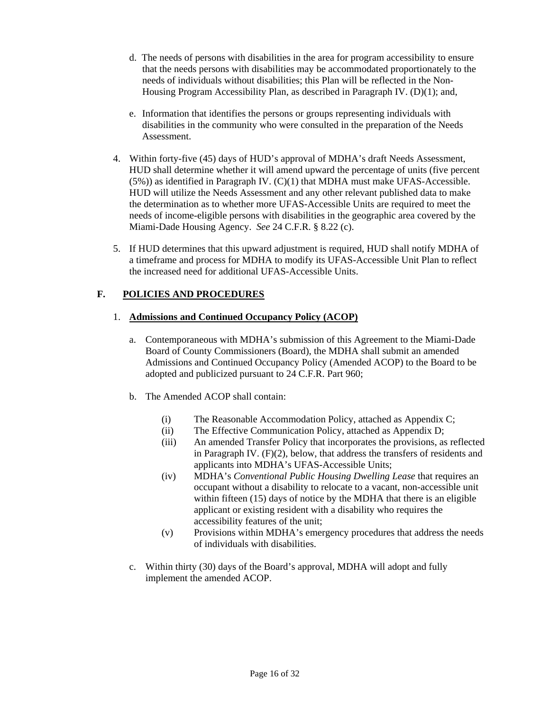- d. The needs of persons with disabilities in the area for program accessibility to ensure that the needs persons with disabilities may be accommodated proportionately to the needs of individuals without disabilities; this Plan will be reflected in the Non-Housing Program Accessibility Plan, as described in Paragraph IV. (D)(1); and,
- e. Information that identifies the persons or groups representing individuals with disabilities in the community who were consulted in the preparation of the Needs Assessment.
- 4. Within forty-five (45) days of HUD's approval of MDHA's draft Needs Assessment, HUD shall determine whether it will amend upward the percentage of units (five percent  $(5%)$ ) as identified in Paragraph IV.  $(C)(1)$  that MDHA must make UFAS-Accessible. HUD will utilize the Needs Assessment and any other relevant published data to make the determination as to whether more UFAS-Accessible Units are required to meet the needs of income-eligible persons with disabilities in the geographic area covered by the Miami-Dade Housing Agency. *See* 24 C.F.R. § 8.22 (c).
- 5. If HUD determines that this upward adjustment is required, HUD shall notify MDHA of a timeframe and process for MDHA to modify its UFAS-Accessible Unit Plan to reflect the increased need for additional UFAS-Accessible Units.

# **F. POLICIES AND PROCEDURES**

### 1. **Admissions and Continued Occupancy Policy (ACOP)**

- a. Contemporaneous with MDHA's submission of this Agreement to the Miami-Dade Board of County Commissioners (Board), the MDHA shall submit an amended Admissions and Continued Occupancy Policy (Amended ACOP) to the Board to be adopted and publicized pursuant to 24 C.F.R. Part 960;
- b. The Amended ACOP shall contain:
	- (i) The Reasonable Accommodation Policy, attached as Appendix C;
	- (ii) The Effective Communication Policy, attached as Appendix D;
	- (iii) An amended Transfer Policy that incorporates the provisions, as reflected in Paragraph IV. (F)(2), below, that address the transfers of residents and applicants into MDHA's UFAS-Accessible Units;
	- (iv) MDHA's *Conventional Public Housing Dwelling Lease* that requires an occupant without a disability to relocate to a vacant, non-accessible unit within fifteen (15) days of notice by the MDHA that there is an eligible applicant or existing resident with a disability who requires the accessibility features of the unit;
	- (v) Provisions within MDHA's emergency procedures that address the needs of individuals with disabilities.
- c. Within thirty (30) days of the Board's approval, MDHA will adopt and fully implement the amended ACOP.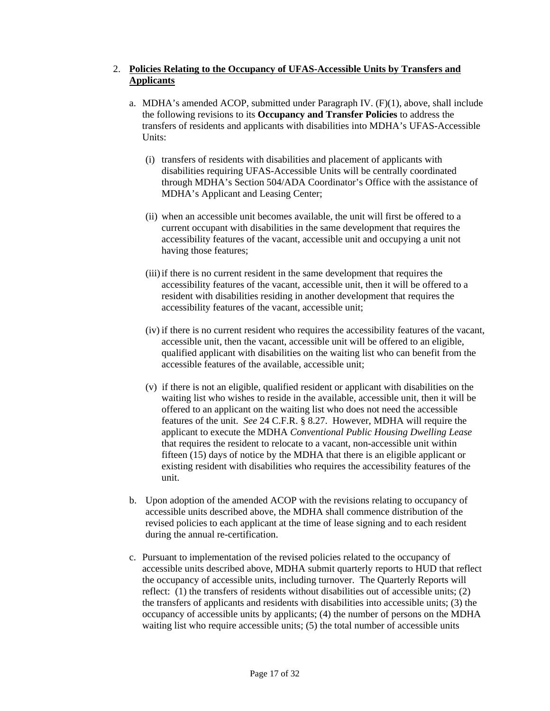## 2. **Policies Relating to the Occupancy of UFAS-Accessible Units by Transfers and Applicants**

- a. MDHA's amended ACOP, submitted under Paragraph IV. (F)(1), above, shall include the following revisions to its **Occupancy and Transfer Policies** to address the transfers of residents and applicants with disabilities into MDHA's UFAS-Accessible Units:
	- (i) transfers of residents with disabilities and placement of applicants with disabilities requiring UFAS-Accessible Units will be centrally coordinated through MDHA's Section 504/ADA Coordinator's Office with the assistance of MDHA's Applicant and Leasing Center;
	- (ii) when an accessible unit becomes available, the unit will first be offered to a current occupant with disabilities in the same development that requires the accessibility features of the vacant, accessible unit and occupying a unit not having those features;
	- (iii) if there is no current resident in the same development that requires the accessibility features of the vacant, accessible unit, then it will be offered to a resident with disabilities residing in another development that requires the accessibility features of the vacant, accessible unit;
	- (iv) if there is no current resident who requires the accessibility features of the vacant, accessible unit, then the vacant, accessible unit will be offered to an eligible, qualified applicant with disabilities on the waiting list who can benefit from the accessible features of the available, accessible unit;
	- (v) if there is not an eligible, qualified resident or applicant with disabilities on the waiting list who wishes to reside in the available, accessible unit, then it will be offered to an applicant on the waiting list who does not need the accessible features of the unit. *See* 24 C.F.R. § 8.27. However, MDHA will require the applicant to execute the MDHA *Conventional Public Housing Dwelling Lease* that requires the resident to relocate to a vacant, non-accessible unit within fifteen (15) days of notice by the MDHA that there is an eligible applicant or existing resident with disabilities who requires the accessibility features of the unit.
- b. Upon adoption of the amended ACOP with the revisions relating to occupancy of accessible units described above, the MDHA shall commence distribution of the revised policies to each applicant at the time of lease signing and to each resident during the annual re-certification.
- c. Pursuant to implementation of the revised policies related to the occupancy of accessible units described above, MDHA submit quarterly reports to HUD that reflect the occupancy of accessible units, including turnover. The Quarterly Reports will reflect: (1) the transfers of residents without disabilities out of accessible units; (2) the transfers of applicants and residents with disabilities into accessible units; (3) the occupancy of accessible units by applicants; (4) the number of persons on the MDHA waiting list who require accessible units; (5) the total number of accessible units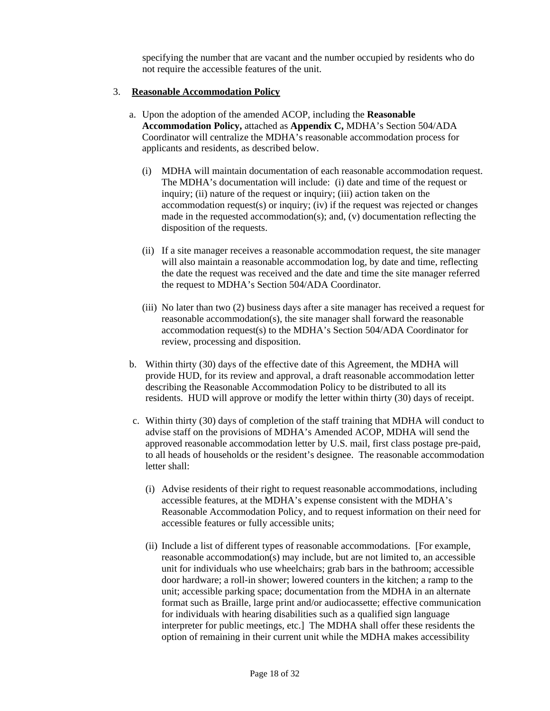specifying the number that are vacant and the number occupied by residents who do not require the accessible features of the unit.

#### 3. **Reasonable Accommodation Policy**

- a. Upon the adoption of the amended ACOP, including the **Reasonable Accommodation Policy,** attached as **Appendix C,** MDHA's Section 504/ADA Coordinator will centralize the MDHA's reasonable accommodation process for applicants and residents, as described below.
	- (i) MDHA will maintain documentation of each reasonable accommodation request. The MDHA's documentation will include: (i) date and time of the request or inquiry; (ii) nature of the request or inquiry; (iii) action taken on the accommodation request(s) or inquiry; (iv) if the request was rejected or changes made in the requested accommodation(s); and,  $(v)$  documentation reflecting the disposition of the requests.
	- (ii) If a site manager receives a reasonable accommodation request, the site manager will also maintain a reasonable accommodation log, by date and time, reflecting the date the request was received and the date and time the site manager referred the request to MDHA's Section 504/ADA Coordinator.
	- (iii) No later than two (2) business days after a site manager has received a request for reasonable accommodation(s), the site manager shall forward the reasonable accommodation request(s) to the MDHA's Section 504/ADA Coordinator for review, processing and disposition.
- b. Within thirty (30) days of the effective date of this Agreement, the MDHA will provide HUD, for its review and approval, a draft reasonable accommodation letter describing the Reasonable Accommodation Policy to be distributed to all its residents. HUD will approve or modify the letter within thirty (30) days of receipt.
- c. Within thirty (30) days of completion of the staff training that MDHA will conduct to advise staff on the provisions of MDHA's Amended ACOP, MDHA will send the approved reasonable accommodation letter by U.S. mail, first class postage pre-paid, to all heads of households or the resident's designee. The reasonable accommodation letter shall:
	- (i) Advise residents of their right to request reasonable accommodations, including accessible features, at the MDHA's expense consistent with the MDHA's Reasonable Accommodation Policy, and to request information on their need for accessible features or fully accessible units;
	- (ii) Include a list of different types of reasonable accommodations. [For example, reasonable accommodation(s) may include, but are not limited to, an accessible unit for individuals who use wheelchairs; grab bars in the bathroom; accessible door hardware; a roll-in shower; lowered counters in the kitchen; a ramp to the unit; accessible parking space; documentation from the MDHA in an alternate format such as Braille, large print and/or audiocassette; effective communication for individuals with hearing disabilities such as a qualified sign language interpreter for public meetings, etc.] The MDHA shall offer these residents the option of remaining in their current unit while the MDHA makes accessibility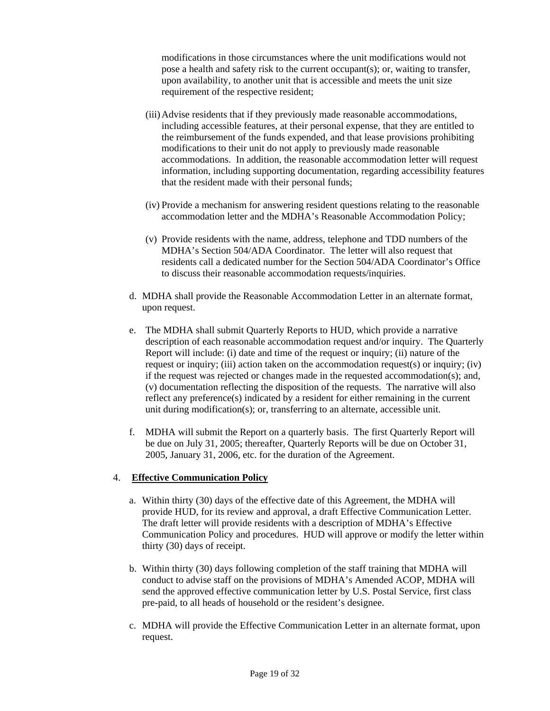modifications in those circumstances where the unit modifications would not pose a health and safety risk to the current occupant(s); or, waiting to transfer, upon availability, to another unit that is accessible and meets the unit size requirement of the respective resident;

- (iii) Advise residents that if they previously made reasonable accommodations, including accessible features, at their personal expense, that they are entitled to the reimbursement of the funds expended, and that lease provisions prohibiting modifications to their unit do not apply to previously made reasonable accommodations. In addition, the reasonable accommodation letter will request information, including supporting documentation, regarding accessibility features that the resident made with their personal funds;
- (iv) Provide a mechanism for answering resident questions relating to the reasonable accommodation letter and the MDHA's Reasonable Accommodation Policy;
- (v) Provide residents with the name, address, telephone and TDD numbers of the MDHA's Section 504/ADA Coordinator. The letter will also request that residents call a dedicated number for the Section 504/ADA Coordinator's Office to discuss their reasonable accommodation requests/inquiries.
- d. MDHA shall provide the Reasonable Accommodation Letter in an alternate format, upon request.
- e. The MDHA shall submit Quarterly Reports to HUD, which provide a narrative description of each reasonable accommodation request and/or inquiry. The Quarterly Report will include: (i) date and time of the request or inquiry; (ii) nature of the request or inquiry; (iii) action taken on the accommodation request(s) or inquiry; (iv) if the request was rejected or changes made in the requested accommodation(s); and, (v) documentation reflecting the disposition of the requests. The narrative will also reflect any preference(s) indicated by a resident for either remaining in the current unit during modification(s); or, transferring to an alternate, accessible unit.
- f. MDHA will submit the Report on a quarterly basis. The first Quarterly Report will be due on July 31, 2005; thereafter, Quarterly Reports will be due on October 31, 2005, January 31, 2006, etc. for the duration of the Agreement.

#### 4. **Effective Communication Policy**

- a. Within thirty (30) days of the effective date of this Agreement, the MDHA will provide HUD, for its review and approval, a draft Effective Communication Letter. The draft letter will provide residents with a description of MDHA's Effective Communication Policy and procedures. HUD will approve or modify the letter within thirty (30) days of receipt.
- b. Within thirty (30) days following completion of the staff training that MDHA will conduct to advise staff on the provisions of MDHA's Amended ACOP, MDHA will send the approved effective communication letter by U.S. Postal Service, first class pre-paid, to all heads of household or the resident's designee.
- c. MDHA will provide the Effective Communication Letter in an alternate format, upon request.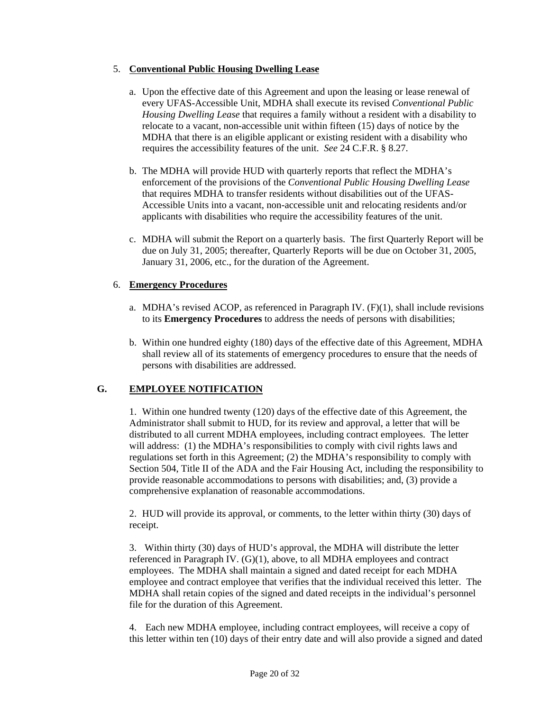## 5. **Conventional Public Housing Dwelling Lease**

- a. Upon the effective date of this Agreement and upon the leasing or lease renewal of every UFAS-Accessible Unit, MDHA shall execute its revised *Conventional Public Housing Dwelling Lease* that requires a family without a resident with a disability to relocate to a vacant, non-accessible unit within fifteen (15) days of notice by the MDHA that there is an eligible applicant or existing resident with a disability who requires the accessibility features of the unit. *See* 24 C.F.R. § 8.27.
- b. The MDHA will provide HUD with quarterly reports that reflect the MDHA's enforcement of the provisions of the *Conventional Public Housing Dwelling Lease*  that requires MDHA to transfer residents without disabilities out of the UFAS-Accessible Units into a vacant, non-accessible unit and relocating residents and/or applicants with disabilities who require the accessibility features of the unit.
- c. MDHA will submit the Report on a quarterly basis. The first Quarterly Report will be due on July 31, 2005; thereafter, Quarterly Reports will be due on October 31, 2005, January 31, 2006, etc., for the duration of the Agreement.

### 6. **Emergency Procedures**

- a. MDHA's revised ACOP, as referenced in Paragraph IV.  $(F)(1)$ , shall include revisions to its **Emergency Procedures** to address the needs of persons with disabilities;
- b. Within one hundred eighty (180) days of the effective date of this Agreement, MDHA shall review all of its statements of emergency procedures to ensure that the needs of persons with disabilities are addressed.

## **G. EMPLOYEE NOTIFICATION**

1. Within one hundred twenty (120) days of the effective date of this Agreement, the Administrator shall submit to HUD, for its review and approval, a letter that will be distributed to all current MDHA employees, including contract employees. The letter will address: (1) the MDHA's responsibilities to comply with civil rights laws and regulations set forth in this Agreement; (2) the MDHA's responsibility to comply with Section 504, Title II of the ADA and the Fair Housing Act, including the responsibility to provide reasonable accommodations to persons with disabilities; and, (3) provide a comprehensive explanation of reasonable accommodations.

2. HUD will provide its approval, or comments, to the letter within thirty (30) days of receipt.

3. Within thirty (30) days of HUD's approval, the MDHA will distribute the letter referenced in Paragraph IV. (G)(1), above, to all MDHA employees and contract employees. The MDHA shall maintain a signed and dated receipt for each MDHA employee and contract employee that verifies that the individual received this letter. The MDHA shall retain copies of the signed and dated receipts in the individual's personnel file for the duration of this Agreement.

4. Each new MDHA employee, including contract employees, will receive a copy of this letter within ten (10) days of their entry date and will also provide a signed and dated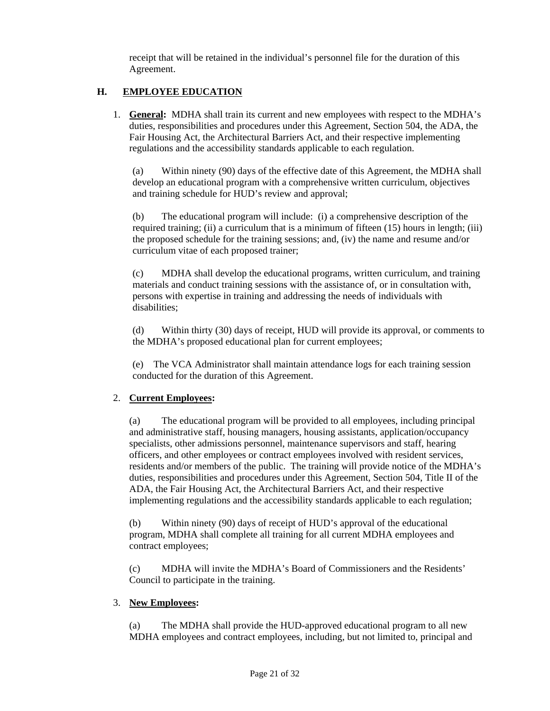receipt that will be retained in the individual's personnel file for the duration of this Agreement.

# **H. EMPLOYEE EDUCATION**

1. **General:** MDHA shall train its current and new employees with respect to the MDHA's duties, responsibilities and procedures under this Agreement, Section 504, the ADA, the Fair Housing Act, the Architectural Barriers Act, and their respective implementing regulations and the accessibility standards applicable to each regulation.

(a) Within ninety (90) days of the effective date of this Agreement, the MDHA shall develop an educational program with a comprehensive written curriculum, objectives and training schedule for HUD's review and approval;

(b) The educational program will include: (i) a comprehensive description of the required training; (ii) a curriculum that is a minimum of fifteen (15) hours in length; (iii) the proposed schedule for the training sessions; and, (iv) the name and resume and/or curriculum vitae of each proposed trainer;

(c) MDHA shall develop the educational programs, written curriculum, and training materials and conduct training sessions with the assistance of, or in consultation with, persons with expertise in training and addressing the needs of individuals with disabilities;

(d) Within thirty (30) days of receipt, HUD will provide its approval, or comments to the MDHA's proposed educational plan for current employees;

(e) The VCA Administrator shall maintain attendance logs for each training session conducted for the duration of this Agreement.

## 2. **Current Employees:**

(a) The educational program will be provided to all employees, including principal and administrative staff, housing managers, housing assistants, application/occupancy specialists, other admissions personnel, maintenance supervisors and staff, hearing officers, and other employees or contract employees involved with resident services, residents and/or members of the public. The training will provide notice of the MDHA's duties, responsibilities and procedures under this Agreement, Section 504, Title II of the ADA, the Fair Housing Act, the Architectural Barriers Act, and their respective implementing regulations and the accessibility standards applicable to each regulation;

(b) Within ninety (90) days of receipt of HUD's approval of the educational program, MDHA shall complete all training for all current MDHA employees and contract employees;

(c) MDHA will invite the MDHA's Board of Commissioners and the Residents' Council to participate in the training.

## 3. **New Employees:**

(a) The MDHA shall provide the HUD-approved educational program to all new MDHA employees and contract employees, including, but not limited to, principal and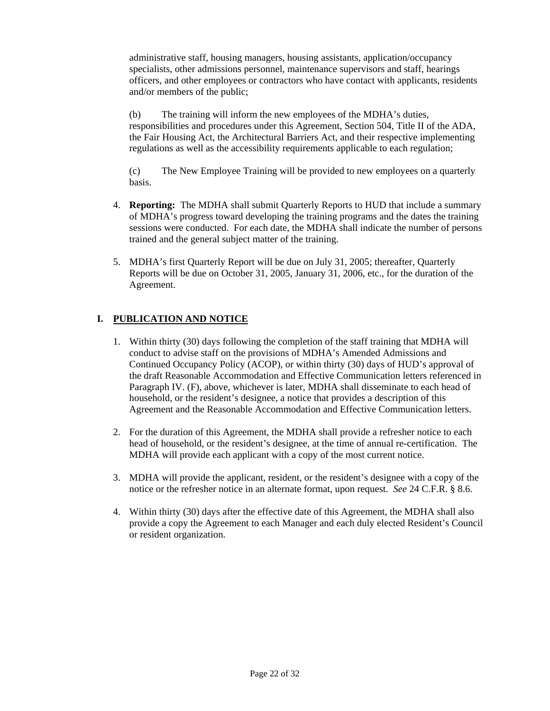administrative staff, housing managers, housing assistants, application/occupancy specialists, other admissions personnel, maintenance supervisors and staff, hearings officers, and other employees or contractors who have contact with applicants, residents and/or members of the public;

(b) The training will inform the new employees of the MDHA's duties, responsibilities and procedures under this Agreement, Section 504, Title II of the ADA, the Fair Housing Act, the Architectural Barriers Act, and their respective implementing regulations as well as the accessibility requirements applicable to each regulation;

(c) The New Employee Training will be provided to new employees on a quarterly basis.

- 4. **Reporting:** The MDHA shall submit Quarterly Reports to HUD that include a summary of MDHA's progress toward developing the training programs and the dates the training sessions were conducted. For each date, the MDHA shall indicate the number of persons trained and the general subject matter of the training.
- 5. MDHA's first Quarterly Report will be due on July 31, 2005; thereafter, Quarterly Reports will be due on October 31, 2005, January 31, 2006, etc., for the duration of the Agreement.

# **I. PUBLICATION AND NOTICE**

- 1. Within thirty (30) days following the completion of the staff training that MDHA will conduct to advise staff on the provisions of MDHA's Amended Admissions and Continued Occupancy Policy (ACOP), or within thirty (30) days of HUD's approval of the draft Reasonable Accommodation and Effective Communication letters referenced in Paragraph IV. (F), above, whichever is later, MDHA shall disseminate to each head of household, or the resident's designee, a notice that provides a description of this Agreement and the Reasonable Accommodation and Effective Communication letters.
- 2. For the duration of this Agreement, the MDHA shall provide a refresher notice to each head of household, or the resident's designee, at the time of annual re-certification. The MDHA will provide each applicant with a copy of the most current notice.
- 3. MDHA will provide the applicant, resident, or the resident's designee with a copy of the notice or the refresher notice in an alternate format, upon request. *See* 24 C.F.R. § 8.6.
- 4. Within thirty (30) days after the effective date of this Agreement, the MDHA shall also provide a copy the Agreement to each Manager and each duly elected Resident's Council or resident organization.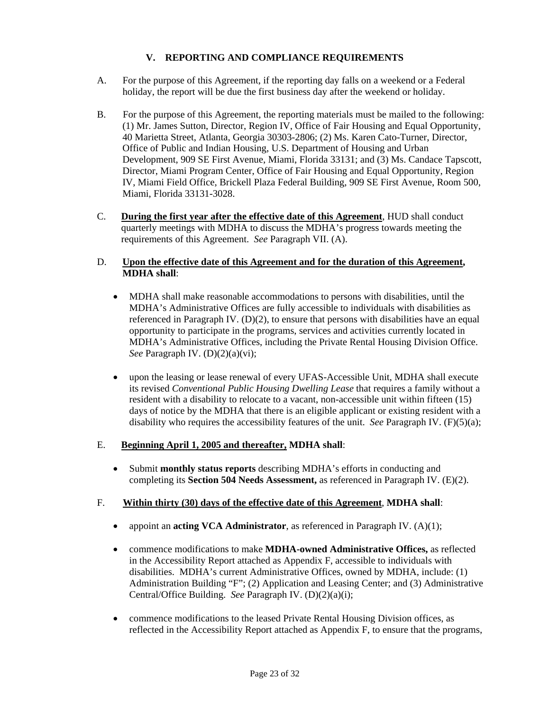# **V. REPORTING AND COMPLIANCE REQUIREMENTS**

- A. For the purpose of this Agreement, if the reporting day falls on a weekend or a Federal holiday, the report will be due the first business day after the weekend or holiday.
- B. For the purpose of this Agreement, the reporting materials must be mailed to the following: (1) Mr. James Sutton, Director, Region IV, Office of Fair Housing and Equal Opportunity, 40 Marietta Street, Atlanta, Georgia 30303-2806; (2) Ms. Karen Cato-Turner, Director, Office of Public and Indian Housing, U.S. Department of Housing and Urban Development, 909 SE First Avenue, Miami, Florida 33131; and (3) Ms. Candace Tapscott, Director, Miami Program Center, Office of Fair Housing and Equal Opportunity, Region IV, Miami Field Office, Brickell Plaza Federal Building, 909 SE First Avenue, Room 500, Miami, Florida 33131-3028.
- C. **During the first year after the effective date of this Agreement**, HUD shall conduct quarterly meetings with MDHA to discuss the MDHA's progress towards meeting the requirements of this Agreement. *See* Paragraph VII. (A).

### D. **Upon the effective date of this Agreement and for the duration of this Agreement, MDHA shall**:

- MDHA shall make reasonable accommodations to persons with disabilities, until the MDHA's Administrative Offices are fully accessible to individuals with disabilities as referenced in Paragraph IV.  $(D)(2)$ , to ensure that persons with disabilities have an equal opportunity to participate in the programs, services and activities currently located in MDHA's Administrative Offices, including the Private Rental Housing Division Office. *See* Paragraph IV. (D)(2)(a)(vi);
- upon the leasing or lease renewal of every UFAS-Accessible Unit, MDHA shall execute its revised *Conventional Public Housing Dwelling Lease* that requires a family without a resident with a disability to relocate to a vacant, non-accessible unit within fifteen (15) days of notice by the MDHA that there is an eligible applicant or existing resident with a disability who requires the accessibility features of the unit. *See* Paragraph IV. (F)(5)(a);

#### E. **Beginning April 1, 2005 and thereafter, MDHA shall**:

• Submit **monthly status reports** describing MDHA's efforts in conducting and completing its **Section 504 Needs Assessment,** as referenced in Paragraph IV. (E)(2).

#### F. **Within thirty (30) days of the effective date of this Agreement**, **MDHA shall**:

- appoint an **acting VCA Administrator**, as referenced in Paragraph IV. (A)(1);
- commence modifications to make **MDHA-owned Administrative Offices,** as reflected in the Accessibility Report attached as Appendix F, accessible to individuals with disabilities. MDHA's current Administrative Offices, owned by MDHA, include: (1) Administration Building "F"; (2) Application and Leasing Center; and (3) Administrative Central/Office Building. *See* Paragraph IV. (D)(2)(a)(i);
- commence modifications to the leased Private Rental Housing Division offices, as reflected in the Accessibility Report attached as Appendix F, to ensure that the programs,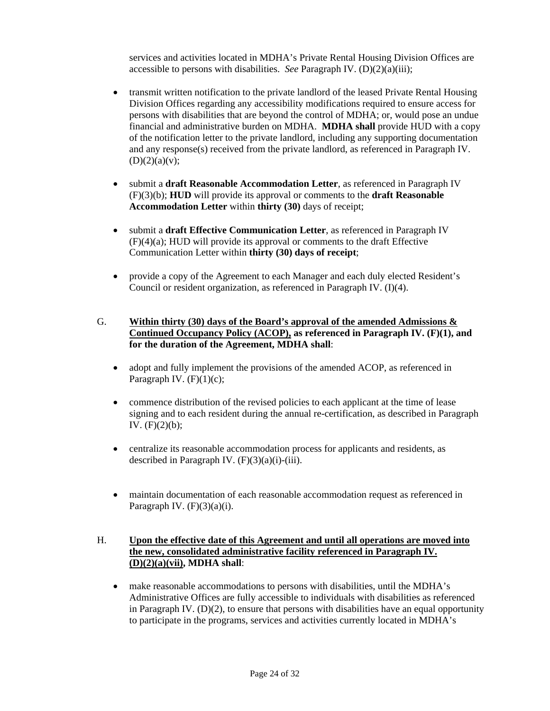services and activities located in MDHA's Private Rental Housing Division Offices are accessible to persons with disabilities. *See* Paragraph IV. (D)(2)(a)(iii);

- transmit written notification to the private landlord of the leased Private Rental Housing Division Offices regarding any accessibility modifications required to ensure access for persons with disabilities that are beyond the control of MDHA; or, would pose an undue financial and administrative burden on MDHA. **MDHA shall** provide HUD with a copy of the notification letter to the private landlord, including any supporting documentation and any response(s) received from the private landlord, as referenced in Paragraph IV.  $(D)(2)(a)(v);$
- submit a **draft Reasonable Accommodation Letter**, as referenced in Paragraph IV (F)(3)(b); **HUD** will provide its approval or comments to the **draft Reasonable Accommodation Letter** within **thirty (30)** days of receipt;
- submit a **draft Effective Communication Letter**, as referenced in Paragraph IV (F)(4)(a); HUD will provide its approval or comments to the draft Effective Communication Letter within **thirty (30) days of receipt**;
- provide a copy of the Agreement to each Manager and each duly elected Resident's Council or resident organization, as referenced in Paragraph IV. (I)(4).
- G. **Within thirty (30) days of the Board's approval of the amended Admissions & Continued Occupancy Policy (ACOP), as referenced in Paragraph IV. (F)(1), and for the duration of the Agreement, MDHA shall**:
	- adopt and fully implement the provisions of the amended ACOP, as referenced in Paragraph IV.  $(F)(1)(c)$ ;
	- commence distribution of the revised policies to each applicant at the time of lease signing and to each resident during the annual re-certification, as described in Paragraph IV.  $(F)(2)(b)$ ;
	- centralize its reasonable accommodation process for applicants and residents, as described in Paragraph IV.  $(F)(3)(a)(i)$ -(iii).
	- maintain documentation of each reasonable accommodation request as referenced in Paragraph IV.  $(F)(3)(a)(i)$ .

### H. **Upon the effective date of this Agreement and until all operations are moved into the new, consolidated administrative facility referenced in Paragraph IV. (D)(2)(a)(vii), MDHA shall**:

• make reasonable accommodations to persons with disabilities, until the MDHA's Administrative Offices are fully accessible to individuals with disabilities as referenced in Paragraph IV.  $(D)(2)$ , to ensure that persons with disabilities have an equal opportunity to participate in the programs, services and activities currently located in MDHA's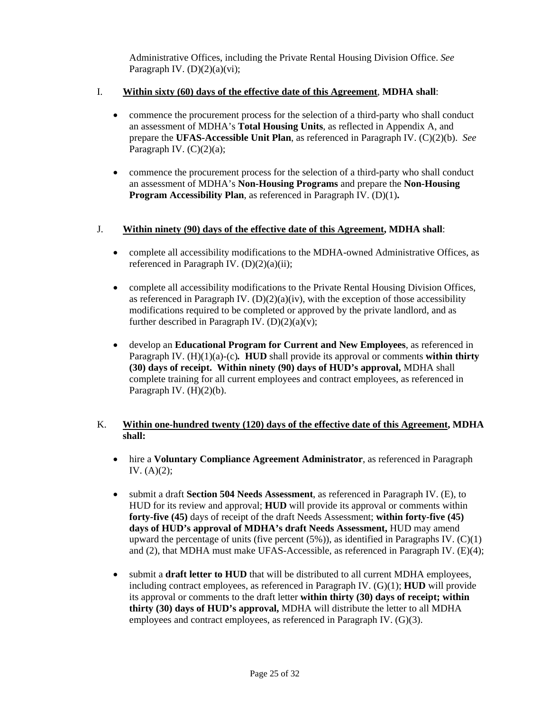Administrative Offices, including the Private Rental Housing Division Office. *See*  Paragraph IV.  $(D)(2)(a)(vi)$ ;

### I. **Within sixty (60) days of the effective date of this Agreement**, **MDHA shall**:

- commence the procurement process for the selection of a third-party who shall conduct an assessment of MDHA's **Total Housing Units**, as reflected in Appendix A, and prepare the **UFAS-Accessible Unit Plan**, as referenced in Paragraph IV. (C)(2)(b). *See* Paragraph IV.  $(C)(2)(a)$ ;
- commence the procurement process for the selection of a third-party who shall conduct an assessment of MDHA's **Non-Housing Programs** and prepare the **Non-Housing Program Accessibility Plan**, as referenced in Paragraph IV. (D)(1)**.**

### J. **Within ninety (90) days of the effective date of this Agreement, MDHA shall**:

- complete all accessibility modifications to the MDHA-owned Administrative Offices, as referenced in Paragraph IV.  $(D)(2)(a)(ii)$ ;
- complete all accessibility modifications to the Private Rental Housing Division Offices, as referenced in Paragraph IV.  $(D)(2)(a)(iv)$ , with the exception of those accessibility modifications required to be completed or approved by the private landlord, and as further described in Paragraph IV.  $(D)(2)(a)(v)$ ;
- develop an **Educational Program for Current and New Employees**, as referenced in Paragraph IV.  $(H)(1)(a)-(c)$ *.* **HUD** shall provide its approval or comments **within thirty (30) days of receipt. Within ninety (90) days of HUD's approval,** MDHA shall complete training for all current employees and contract employees, as referenced in Paragraph IV.  $(H)(2)(b)$ .

### K. **Within one-hundred twenty (120) days of the effective date of this Agreement, MDHA shall:**

- hire a **Voluntary Compliance Agreement Administrator**, as referenced in Paragraph IV.  $(A)(2)$ ;
- submit a draft **Section 504 Needs Assessment**, as referenced in Paragraph IV. (E), to HUD for its review and approval; **HUD** will provide its approval or comments within **forty-five (45)** days of receipt of the draft Needs Assessment; **within forty-five (45) days of HUD's approval of MDHA's draft Needs Assessment,** HUD may amend upward the percentage of units (five percent  $(5\%)$ ), as identified in Paragraphs IV.  $(C)(1)$ and (2), that MDHA must make UFAS-Accessible, as referenced in Paragraph IV. (E)(4);
- submit a **draft letter to HUD** that will be distributed to all current MDHA employees, including contract employees, as referenced in Paragraph IV. (G)(1); **HUD** will provide its approval or comments to the draft letter **within thirty (30) days of receipt; within thirty (30) days of HUD's approval,** MDHA will distribute the letter to all MDHA employees and contract employees, as referenced in Paragraph IV. (G)(3).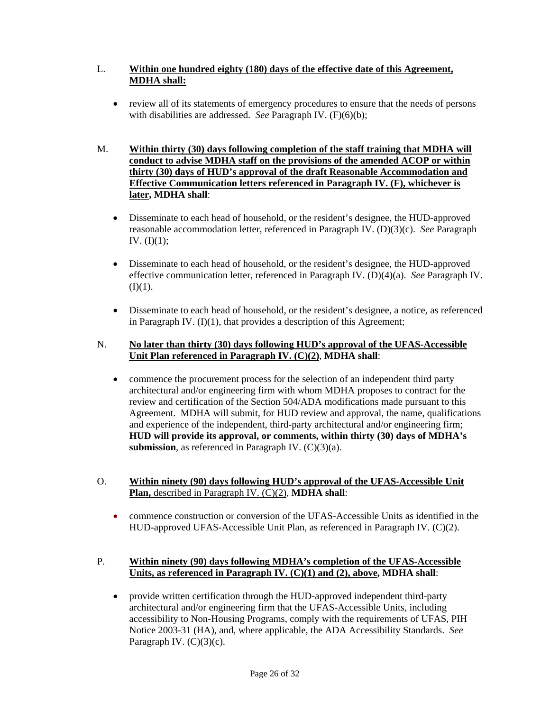## L. **Within one hundred eighty (180) days of the effective date of this Agreement, MDHA shall:**

- review all of its statements of emergency procedures to ensure that the needs of persons with disabilities are addressed. *See* Paragraph IV. (F)(6)(b);
- M. **Within thirty (30) days following completion of the staff training that MDHA will conduct to advise MDHA staff on the provisions of the amended ACOP or within thirty (30) days of HUD's approval of the draft Reasonable Accommodation and Effective Communication letters referenced in Paragraph IV. (F), whichever is later, MDHA shall**:
	- Disseminate to each head of household, or the resident's designee, the HUD-approved reasonable accommodation letter, referenced in Paragraph IV. (D)(3)(c). *See* Paragraph IV.  $(I)(1)$ ;
	- Disseminate to each head of household, or the resident's designee, the HUD-approved effective communication letter, referenced in Paragraph IV. (D)(4)(a). *See* Paragraph IV.  $(I)(1)$ .
	- Disseminate to each head of household, or the resident's designee, a notice, as referenced in Paragraph IV.  $(I)(1)$ , that provides a description of this Agreement;

### N. **No later than thirty (30) days following HUD's approval of the UFAS-Accessible Unit Plan referenced in Paragraph IV. (C)(2)**, **MDHA shall**:

- commence the procurement process for the selection of an independent third party architectural and/or engineering firm with whom MDHA proposes to contract for the review and certification of the Section 504/ADA modifications made pursuant to this Agreement. MDHA will submit, for HUD review and approval, the name, qualifications and experience of the independent, third-party architectural and/or engineering firm; **HUD will provide its approval, or comments, within thirty (30) days of MDHA's submission**, as referenced in Paragraph IV. (C)(3)(a).
- O. **Within ninety (90) days following HUD's approval of the UFAS-Accessible Unit Plan,** described in Paragraph IV. (C)(2), **MDHA shall**:
	- commence construction or conversion of the UFAS-Accessible Units as identified in the HUD-approved UFAS-Accessible Unit Plan, as referenced in Paragraph IV. (C)(2).

### P. **Within ninety (90) days following MDHA's completion of the UFAS-Accessible Units, as referenced in Paragraph IV. (C)(1) and (2), above, MDHA shall**:

• provide written certification through the HUD-approved independent third-party architectural and/or engineering firm that the UFAS-Accessible Units, including accessibility to Non-Housing Programs, comply with the requirements of UFAS, PIH Notice 2003-31 (HA), and, where applicable, the ADA Accessibility Standards. *See* Paragraph IV. (C)(3)(c).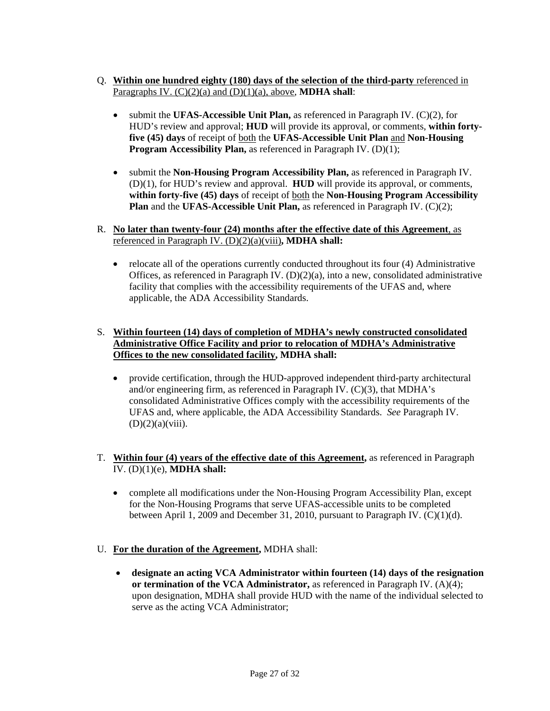- Q. **Within one hundred eighty (180) days of the selection of the third-party** referenced in Paragraphs IV. (C)(2)(a) and (D)(1)(a), above, **MDHA shall**:
	- submit the **UFAS-Accessible Unit Plan,** as referenced in Paragraph IV. (C)(2), for HUD's review and approval; **HUD** will provide its approval, or comments, **within fortyfive (45) days** of receipt of both the **UFAS-Accessible Unit Plan** and **Non-Housing Program Accessibility Plan,** as referenced in Paragraph IV. (D)(1);
	- submit the **Non-Housing Program Accessibility Plan,** as referenced in Paragraph IV. (D)(1), for HUD's review and approval. **HUD** will provide its approval, or comments, **within forty-five (45) days** of receipt of both the **Non-Housing Program Accessibility Plan** and the **UFAS-Accessible Unit Plan,** as referenced in Paragraph IV. (C)(2);
- R. **No later than twenty-four (24) months after the effective date of this Agreement**, as referenced in Paragraph IV. (D)(2)(a)(viii)**, MDHA shall:** 
	- relocate all of the operations currently conducted throughout its four (4) Administrative Offices, as referenced in Paragraph IV.  $(D)(2)(a)$ , into a new, consolidated administrative facility that complies with the accessibility requirements of the UFAS and, where applicable, the ADA Accessibility Standards.

## S. **Within fourteen (14) days of completion of MDHA's newly constructed consolidated Administrative Office Facility and prior to relocation of MDHA's Administrative Offices to the new consolidated facility, MDHA shall:**

- provide certification, through the HUD-approved independent third-party architectural and/or engineering firm, as referenced in Paragraph IV. (C)(3), that MDHA's consolidated Administrative Offices comply with the accessibility requirements of the UFAS and, where applicable, the ADA Accessibility Standards. *See* Paragraph IV.  $(D)(2)(a)(viii)$ .
- T. **Within four (4) years of the effective date of this Agreement,** as referenced in Paragraph IV. (D)(1)(e), **MDHA shall:** 
	- complete all modifications under the Non-Housing Program Accessibility Plan, except for the Non-Housing Programs that serve UFAS-accessible units to be completed between April 1, 2009 and December 31, 2010, pursuant to Paragraph IV. (C)(1)(d).
- U. **For the duration of the Agreement,** MDHA shall:
	- **designate an acting VCA Administrator within fourteen (14) days of the resignation or termination of the VCA Administrator,** as referenced in Paragraph IV. (A)(4); upon designation, MDHA shall provide HUD with the name of the individual selected to serve as the acting VCA Administrator;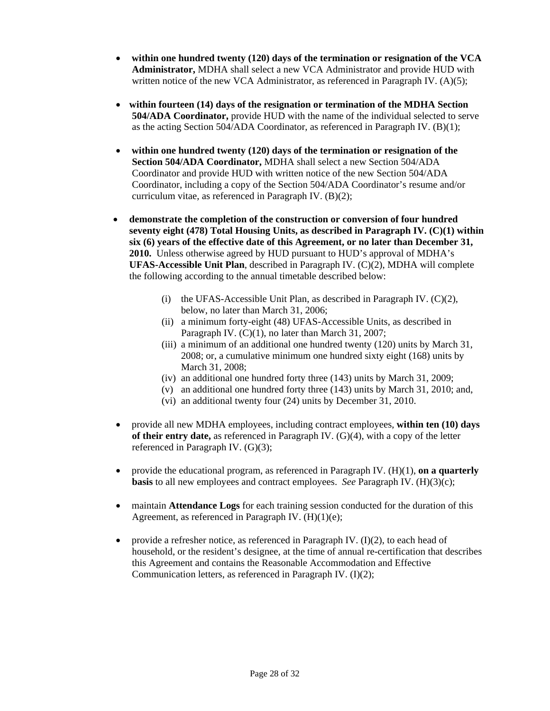- **within one hundred twenty (120) days of the termination or resignation of the VCA Administrator,** MDHA shall select a new VCA Administrator and provide HUD with written notice of the new VCA Administrator, as referenced in Paragraph IV.  $(A)(5)$ ;
- **within fourteen (14) days of the resignation or termination of the MDHA Section 504/ADA Coordinator,** provide HUD with the name of the individual selected to serve as the acting Section 504/ADA Coordinator, as referenced in Paragraph IV. (B)(1);
- **within one hundred twenty (120) days of the termination or resignation of the Section 504/ADA Coordinator,** MDHA shall select a new Section 504/ADA Coordinator and provide HUD with written notice of the new Section 504/ADA Coordinator, including a copy of the Section 504/ADA Coordinator's resume and/or curriculum vitae, as referenced in Paragraph IV. (B)(2);
- **demonstrate the completion of the construction or conversion of four hundred seventy eight (478) Total Housing Units, as described in Paragraph IV. (C)(1) within six (6) years of the effective date of this Agreement, or no later than December 31, 2010.** Unless otherwise agreed by HUD pursuant to HUD's approval of MDHA's **UFAS-Accessible Unit Plan**, described in Paragraph IV. (C)(2), MDHA will complete the following according to the annual timetable described below:
	- (i) the UFAS-Accessible Unit Plan, as described in Paragraph IV.  $(C)(2)$ , below, no later than March 31, 2006;
	- (ii) a minimum forty-eight (48) UFAS-Accessible Units, as described in Paragraph IV. (C)(1), no later than March 31, 2007;
	- (iii) a minimum of an additional one hundred twenty (120) units by March 31, 2008; or, a cumulative minimum one hundred sixty eight (168) units by March 31, 2008;
	- (iv) an additional one hundred forty three (143) units by March 31, 2009;
	- (v) an additional one hundred forty three (143) units by March 31, 2010; and,
	- (vi) an additional twenty four (24) units by December 31, 2010.
- provide all new MDHA employees, including contract employees, **within ten (10) days of their entry date,** as referenced in Paragraph IV. (G)(4), with a copy of the letter referenced in Paragraph IV. (G)(3);
- provide the educational program, as referenced in Paragraph IV. (H)(1), **on a quarterly basis** to all new employees and contract employees. *See* Paragraph IV. (H)(3)(c);
- maintain **Attendance Logs** for each training session conducted for the duration of this Agreement, as referenced in Paragraph IV. (H)(1)(e);
- provide a refresher notice, as referenced in Paragraph IV.  $(I)(2)$ , to each head of household, or the resident's designee, at the time of annual re-certification that describes this Agreement and contains the Reasonable Accommodation and Effective Communication letters, as referenced in Paragraph IV. (I)(2);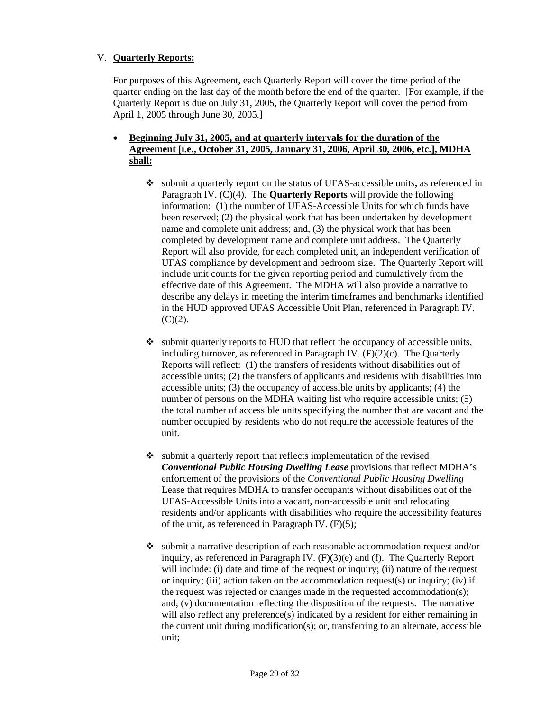### V. **Quarterly Reports:**

For purposes of this Agreement, each Quarterly Report will cover the time period of the quarter ending on the last day of the month before the end of the quarter. [For example, if the Quarterly Report is due on July 31, 2005, the Quarterly Report will cover the period from April 1, 2005 through June 30, 2005.]

- **Beginning July 31, 2005, and at quarterly intervals for the duration of the Agreement [i.e., October 31, 2005, January 31, 2006, April 30, 2006, etc.], MDHA shall:**
	- submit a quarterly report on the status of UFAS-accessible units**,** as referenced in Paragraph IV. (C)(4). The **Quarterly Reports** will provide the following information: (1) the number of UFAS-Accessible Units for which funds have been reserved; (2) the physical work that has been undertaken by development name and complete unit address; and, (3) the physical work that has been completed by development name and complete unit address. The Quarterly Report will also provide, for each completed unit, an independent verification of UFAS compliance by development and bedroom size. The Quarterly Report will include unit counts for the given reporting period and cumulatively from the effective date of this Agreement. The MDHA will also provide a narrative to describe any delays in meeting the interim timeframes and benchmarks identified in the HUD approved UFAS Accessible Unit Plan, referenced in Paragraph IV.  $(C)(2)$ .
	- $\bullet$  submit quarterly reports to HUD that reflect the occupancy of accessible units, including turnover, as referenced in Paragraph IV.  $(F)(2)(c)$ . The Quarterly Reports will reflect: (1) the transfers of residents without disabilities out of accessible units; (2) the transfers of applicants and residents with disabilities into accessible units; (3) the occupancy of accessible units by applicants; (4) the number of persons on the MDHA waiting list who require accessible units; (5) the total number of accessible units specifying the number that are vacant and the number occupied by residents who do not require the accessible features of the unit.
	- $\bullet$  submit a quarterly report that reflects implementation of the revised *Conventional Public Housing Dwelling Lease* provisions that reflect MDHA's enforcement of the provisions of the *Conventional Public Housing Dwelling*  Lease that requires MDHA to transfer occupants without disabilities out of the UFAS-Accessible Units into a vacant, non-accessible unit and relocating residents and/or applicants with disabilities who require the accessibility features of the unit, as referenced in Paragraph IV. (F)(5);
	- submit a narrative description of each reasonable accommodation request and/or inquiry, as referenced in Paragraph IV. (F)(3)(e) and (f). The Quarterly Report will include: (i) date and time of the request or inquiry; (ii) nature of the request or inquiry; (iii) action taken on the accommodation request(s) or inquiry; (iv) if the request was rejected or changes made in the requested accommodation(s); and, (v) documentation reflecting the disposition of the requests. The narrative will also reflect any preference(s) indicated by a resident for either remaining in the current unit during modification(s); or, transferring to an alternate, accessible unit;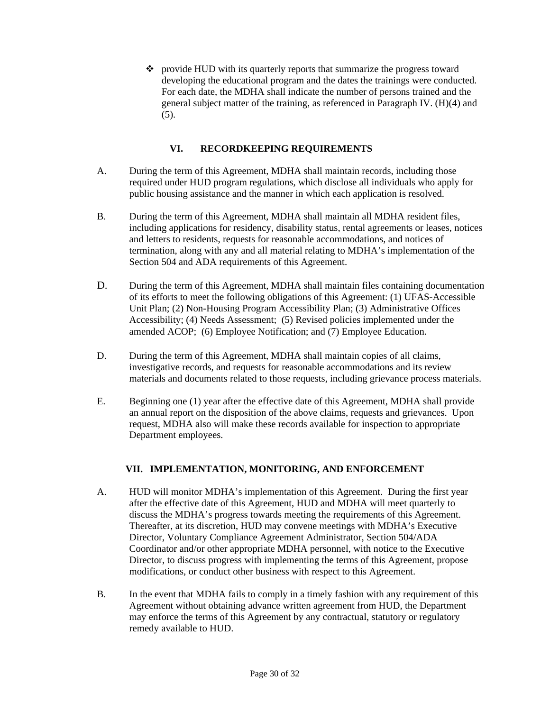provide HUD with its quarterly reports that summarize the progress toward developing the educational program and the dates the trainings were conducted. For each date, the MDHA shall indicate the number of persons trained and the general subject matter of the training, as referenced in Paragraph IV. (H)(4) and (5).

# **VI. RECORDKEEPING REQUIREMENTS**

- A. During the term of this Agreement, MDHA shall maintain records, including those required under HUD program regulations, which disclose all individuals who apply for public housing assistance and the manner in which each application is resolved.
- B. During the term of this Agreement, MDHA shall maintain all MDHA resident files, including applications for residency, disability status, rental agreements or leases, notices and letters to residents, requests for reasonable accommodations, and notices of termination, along with any and all material relating to MDHA's implementation of the Section 504 and ADA requirements of this Agreement.
- D. During the term of this Agreement, MDHA shall maintain files containing documentation of its efforts to meet the following obligations of this Agreement: (1) UFAS-Accessible Unit Plan; (2) Non-Housing Program Accessibility Plan; (3) Administrative Offices Accessibility; (4) Needs Assessment; (5) Revised policies implemented under the amended ACOP; (6) Employee Notification; and (7) Employee Education.
- D. During the term of this Agreement, MDHA shall maintain copies of all claims, investigative records, and requests for reasonable accommodations and its review materials and documents related to those requests, including grievance process materials.
- E. Beginning one (1) year after the effective date of this Agreement, MDHA shall provide an annual report on the disposition of the above claims, requests and grievances. Upon request, MDHA also will make these records available for inspection to appropriate Department employees.

# **VII. IMPLEMENTATION, MONITORING, AND ENFORCEMENT**

- A. HUD will monitor MDHA's implementation of this Agreement. During the first year after the effective date of this Agreement, HUD and MDHA will meet quarterly to discuss the MDHA's progress towards meeting the requirements of this Agreement. Thereafter, at its discretion, HUD may convene meetings with MDHA's Executive Director, Voluntary Compliance Agreement Administrator, Section 504/ADA Coordinator and/or other appropriate MDHA personnel, with notice to the Executive Director, to discuss progress with implementing the terms of this Agreement, propose modifications, or conduct other business with respect to this Agreement.
- B. In the event that MDHA fails to comply in a timely fashion with any requirement of this Agreement without obtaining advance written agreement from HUD, the Department may enforce the terms of this Agreement by any contractual, statutory or regulatory remedy available to HUD.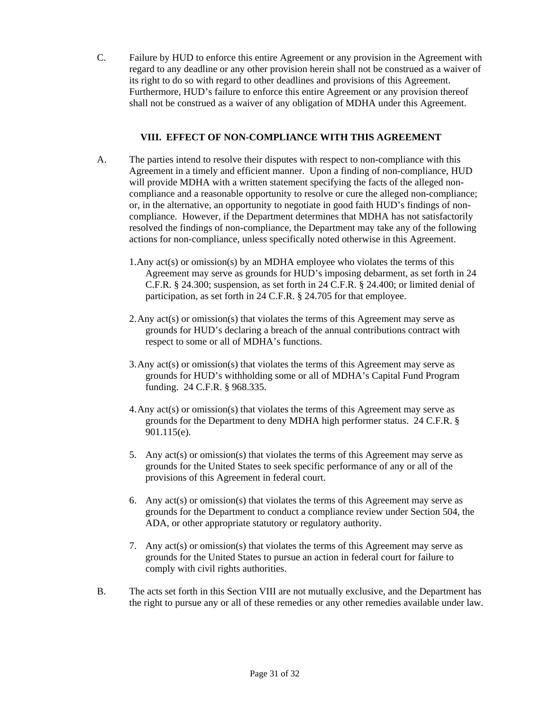C. Failure by HUD to enforce this entire Agreement or any provision in the Agreement with regard to any deadline or any other provision herein shall not be construed as a waiver of its right to do so with regard to other deadlines and provisions of this Agreement. Furthermore, HUD's failure to enforce this entire Agreement or any provision thereof shall not be construed as a waiver of any obligation of MDHA under this Agreement.

#### **VIII. EFFECT OF NON-COMPLIANCE WITH THIS AGREEMENT**

- A. The parties intend to resolve their disputes with respect to non-compliance with this Agreement in a timely and efficient manner. Upon a finding of non-compliance, HUD will provide MDHA with a written statement specifying the facts of the alleged noncompliance and a reasonable opportunity to resolve or cure the alleged non-compliance; or, in the alternative, an opportunity to negotiate in good faith HUD's findings of noncompliance. However, if the Department determines that MDHA has not satisfactorily resolved the findings of non-compliance, the Department may take any of the following actions for non-compliance, unless specifically noted otherwise in this Agreement.
	- 1.Any act(s) or omission(s) by an MDHA employee who violates the terms of this Agreement may serve as grounds for HUD's imposing debarment, as set forth in 24 C.F.R. § 24.300; suspension, as set forth in 24 C.F.R. § 24.400; or limited denial of participation, as set forth in 24 C.F.R. § 24.705 for that employee.
	- 2. Any act(s) or omission(s) that violates the terms of this Agreement may serve as grounds for HUD's declaring a breach of the annual contributions contract with respect to some or all of MDHA's functions.
	- 3. Any act(s) or omission(s) that violates the terms of this Agreement may serve as grounds for HUD's withholding some or all of MDHA's Capital Fund Program funding. 24 C.F.R. § 968.335.
	- 4. Any act(s) or omission(s) that violates the terms of this Agreement may serve as grounds for the Department to deny MDHA high performer status. 24 C.F.R. § 901.115(e).
	- 5. Any act(s) or omission(s) that violates the terms of this Agreement may serve as grounds for the United States to seek specific performance of any or all of the provisions of this Agreement in federal court.
	- 6. Any  $act(s)$  or omission(s) that violates the terms of this Agreement may serve as grounds for the Department to conduct a compliance review under Section 504, the ADA, or other appropriate statutory or regulatory authority.
	- 7. Any act(s) or omission(s) that violates the terms of this Agreement may serve as grounds for the United States to pursue an action in federal court for failure to comply with civil rights authorities.
- B. The acts set forth in this Section VIII are not mutually exclusive, and the Department has the right to pursue any or all of these remedies or any other remedies available under law.